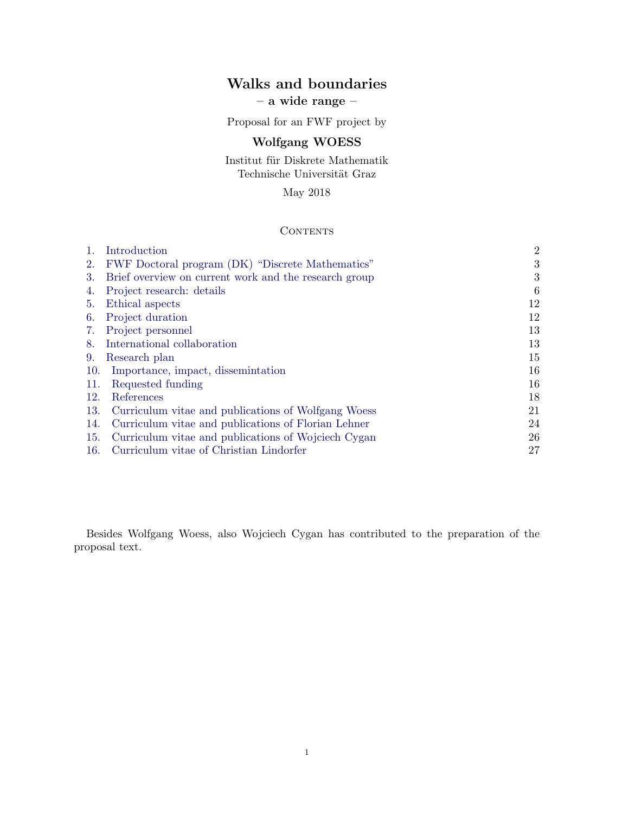# **Walks and boundaries – a wide range –**

Proposal for an FWF project by

## **Wolfgang WOESS**

Institut für Diskrete Mathematik Technische Universität Graz

May 2018

### **CONTENTS**

|     | Introduction                                          | $\overline{2}$ |
|-----|-------------------------------------------------------|----------------|
| 2.  | FWF Doctoral program (DK) "Discrete Mathematics"      | 3              |
| 3.  | Brief overview on current work and the research group | 3              |
| 4.  | Project research: details                             | 6              |
| 5.  | Ethical aspects                                       | 12             |
| 6.  | Project duration                                      | 12             |
| 7.  | Project personnel                                     | 13             |
| 8.  | International collaboration                           | 13             |
| 9.  | Research plan                                         | 15             |
| 10. | Importance, impact, dissemination                     | 16             |
| 11. | Requested funding                                     | 16             |
| 12. | References                                            | 18             |
| 13. | Curriculum vitae and publications of Wolfgang Woess   | 21             |
| 14. | Curriculum vitae and publications of Florian Lehner   | 24             |
| 15. | Curriculum vitae and publications of Wojciech Cygan   | 26             |
| 16. | Curriculum vitae of Christian Lindorfer               | 27             |

Besides Wolfgang Woess, also Wojciech Cygan has contributed to the preparation of the proposal text.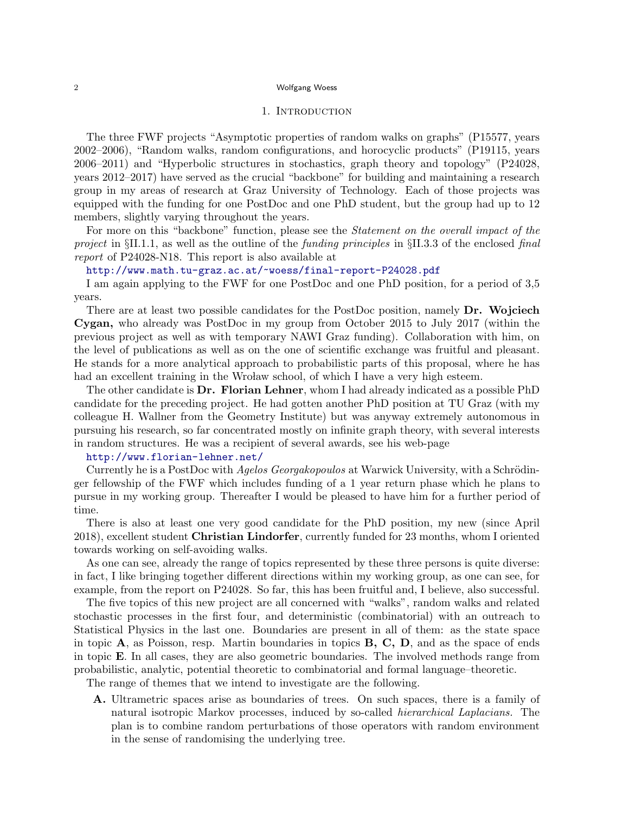### 1. INTRODUCTION

The three FWF projects "Asymptotic properties of random walks on graphs" (P15577, years 2002–2006), "Random walks, random configurations, and horocyclic products" (P19115, years 2006–2011) and "Hyperbolic structures in stochastics, graph theory and topology" (P24028, years 2012–2017) have served as the crucial "backbone" for building and maintaining a research group in my areas of research at Graz University of Technology. Each of those projects was equipped with the funding for one PostDoc and one PhD student, but the group had up to 12 members, slightly varying throughout the years.

For more on this "backbone" function, please see the *Statement on the overall impact of the project* in *§*II.1.1, as well as the outline of the *funding principles* in *§*II.3.3 of the enclosed *final report* of P24028-N18. This report is also available at

### http://www.math.tu-graz.ac.at/~woess/final-report-P24028.pdf

I am again applying to the FWF for one PostDoc and one PhD position, for a period of 3,5 years.

There are at least two possible candidates for the PostDoc position, namely **Dr. Wojciech Cygan,** who already was PostDoc in my group from October 2015 to July 2017 (within the previous project as well as with temporary NAWI Graz funding). Collaboration with him, on the level of publications as well as on the one of scientific exchange was fruitful and pleasant. He stands for a more analytical approach to probabilistic parts of this proposal, where he has had an excellent training in the Wroław school, of which I have a very high esteem.

The other candidate is **Dr. Florian Lehner**, whom I had already indicated as a possible PhD candidate for the preceding project. He had gotten another PhD position at TU Graz (with my colleague H. Wallner from the Geometry Institute) but was anyway extremely autonomous in pursuing his research, so far concentrated mostly on infinite graph theory, with several interests in random structures. He was a recipient of several awards, see his web-page

## http://www.florian-lehner.net/

Currently he is a PostDoc with *Agelos Georgakopoulos* at Warwick University, with a Schrödinger fellowship of the FWF which includes funding of a 1 year return phase which he plans to pursue in my working group. Thereafter I would be pleased to have him for a further period of time.

There is also at least one very good candidate for the PhD position, my new (since April 2018), excellent student **Christian Lindorfer**, currently funded for 23 months, whom I oriented towards working on self-avoiding walks.

As one can see, already the range of topics represented by these three persons is quite diverse: in fact, I like bringing together different directions within my working group, as one can see, for example, from the report on P24028. So far, this has been fruitful and, I believe, also successful.

The five topics of this new project are all concerned with "walks", random walks and related stochastic processes in the first four, and deterministic (combinatorial) with an outreach to Statistical Physics in the last one. Boundaries are present in all of them: as the state space in topic **A**, as Poisson, resp. Martin boundaries in topics **B, C, D**, and as the space of ends in topic **E**. In all cases, they are also geometric boundaries. The involved methods range from probabilistic, analytic, potential theoretic to combinatorial and formal language–theoretic.

The range of themes that we intend to investigate are the following.

**A.** Ultrametric spaces arise as boundaries of trees. On such spaces, there is a family of natural isotropic Markov processes, induced by so-called *hierarchical Laplacians.* The plan is to combine random perturbations of those operators with random environment in the sense of randomising the underlying tree.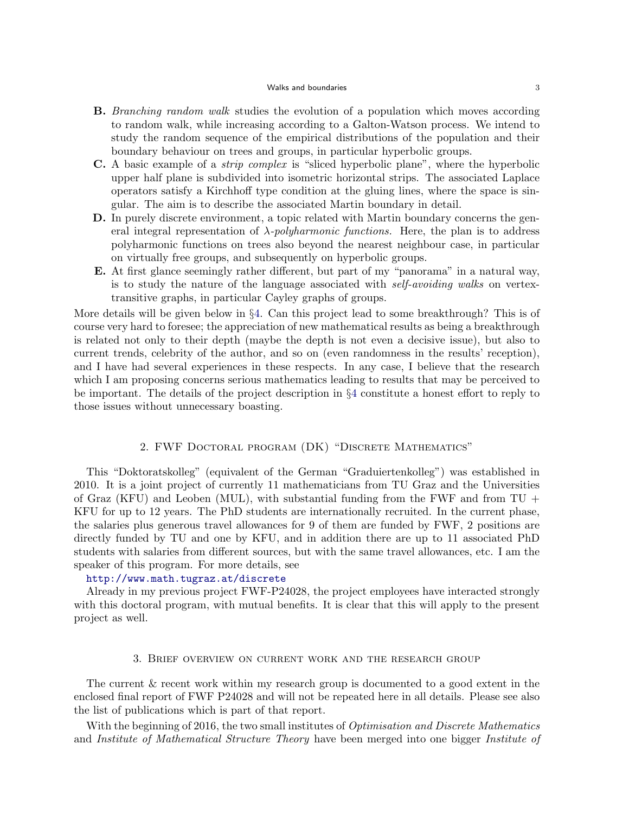#### Walks and boundaries 3

- **B.** *Branching random walk* studies the evolution of a population which moves according to random walk, while increasing according to a Galton-Watson process. We intend to study the random sequence of the empirical distributions of the population and their boundary behaviour on trees and groups, in particular hyperbolic groups.
- **C.** A basic example of a *strip complex* is "sliced hyperbolic plane", where the hyperbolic upper half plane is subdivided into isometric horizontal strips. The associated Laplace operators satisfy a Kirchhoff type condition at the gluing lines, where the space is singular. The aim is to describe the associated Martin boundary in detail.
- **D.** In purely discrete environment, a topic related with Martin boundary concerns the general integral representation of *λ-polyharmonic functions.* Here, the plan is to address polyharmonic functions on trees also beyond the nearest neighbour case, in particular on virtually free groups, and subsequently on hyperbolic groups.
- **E.** At first glance seemingly rather different, but part of my "panorama" in a natural way, is to study the nature of the language associated with *self-avoiding walks* on vertextransitive graphs, in particular Cayley graphs of groups.

More details will be given below in *§*4. Can this project lead to some breakthrough? This is of course very hard to foresee; the appreciation of new mathematical results as being a breakthrough is related not only to their depth (maybe the depth is not even a decisive issue), but also to current trends, celebrity of the author, and so on (even randomness in the results' reception), and I have had several experiences in these respects. In any case, I believe that the research which I am proposing concerns serious mathematics leading to results that may be perceived to be important. The details of the project description in *§*4 constitute a honest effort to reply to those issues without unnecessary boasting.

## 2. FWF Doctoral program (DK) "Discrete Mathematics"

This "Doktoratskolleg" (equivalent of the German "Graduiertenkolleg") was established in 2010. It is a joint project of currently 11 mathematicians from TU Graz and the Universities of Graz (KFU) and Leoben (MUL), with substantial funding from the FWF and from  $TU +$ KFU for up to 12 years. The PhD students are internationally recruited. In the current phase, the salaries plus generous travel allowances for 9 of them are funded by FWF, 2 positions are directly funded by TU and one by KFU, and in addition there are up to 11 associated PhD students with salaries from different sources, but with the same travel allowances, etc. I am the speaker of this program. For more details, see

### http://www.math.tugraz.at/discrete

Already in my previous project FWF-P24028, the project employees have interacted strongly with this doctoral program, with mutual benefits. It is clear that this will apply to the present project as well.

### 3. Brief overview on current work and the research group

The current & recent work within my research group is documented to a good extent in the enclosed final report of FWF P24028 and will not be repeated here in all details. Please see also the list of publications which is part of that report.

With the beginning of 2016, the two small institutes of *Optimisation and Discrete Mathematics* and *Institute of Mathematical Structure Theory* have been merged into one bigger *Institute of*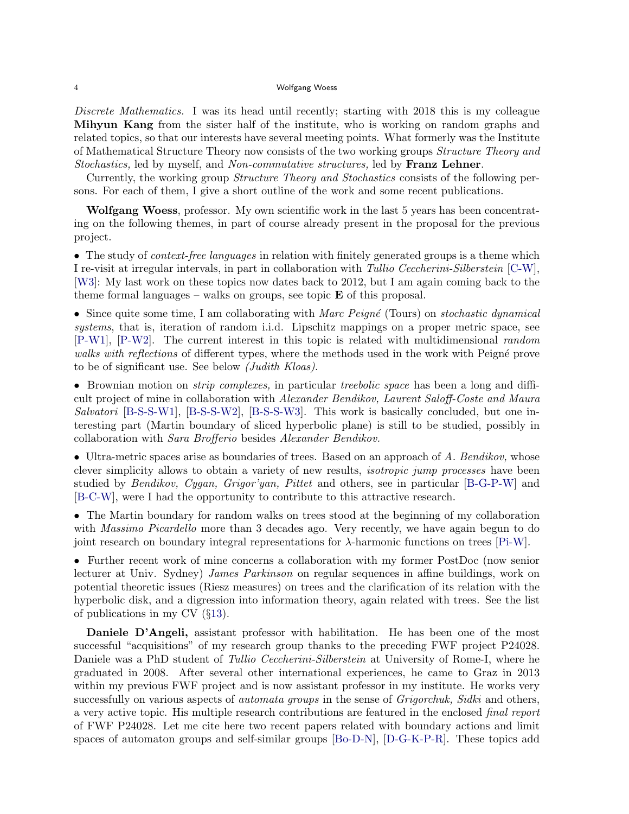*Discrete Mathematics.* I was its head until recently; starting with 2018 this is my colleague **Mihyun Kang** from the sister half of the institute, who is working on random graphs and related topics, so that our interests have several meeting points. What formerly was the Institute of Mathematical Structure Theory now consists of the two working groups *Structure Theory and Stochastics,* led by myself, and *Non-commutative structures,* led by **Franz Lehner**.

Currently, the working group *Structure Theory and Stochastics* consists of the following persons. For each of them, I give a short outline of the work and some recent publications.

**Wolfgang Woess**, professor. My own scientific work in the last 5 years has been concentrating on the following themes, in part of course already present in the proposal for the previous project.

• The study of *context-free languages* in relation with finitely generated groups is a theme which I re-visit at irregular intervals, in part in collaboration with *Tullio Ceccherini-Silberstein* [C-W], [W3]: My last work on these topics now dates back to 2012, but I am again coming back to the theme formal languages – walks on groups, see topic  $\bf{E}$  of this proposal.

• Since quite some time, I am collaborating with *Marc Peigné* (Tours) on *stochastic dynamical systems*, that is, iteration of random i.i.d. Lipschitz mappings on a proper metric space, see [P-W1], [P-W2]. The current interest in this topic is related with multidimensional *random walks with reflections* of different types, where the methods used in the work with Peigné prove to be of significant use. See below *(Judith Kloas)*.

*•* Brownian motion on *strip complexes,* in particular *treebolic space* has been a long and difficult project of mine in collaboration with *Alexander Bendikov, Laurent Saloff-Coste and Maura Salvatori* [B-S-S-W1], [B-S-S-W2], [B-S-S-W3]. This work is basically concluded, but one interesting part (Martin boundary of sliced hyperbolic plane) is still to be studied, possibly in collaboration with *Sara Brofferio* besides *Alexander Bendikov.*

• Ultra-metric spaces arise as boundaries of trees. Based on an approach of *A. Bendikov*, whose clever simplicity allows to obtain a variety of new results, *isotropic jump processes* have been studied by *Bendikov, Cygan, Grigor'yan, Pittet* and others, see in particular [B-G-P-W] and [B-C-W], were I had the opportunity to contribute to this attractive research.

• The Martin boundary for random walks on trees stood at the beginning of my collaboration with *Massimo Picardello* more than 3 decades ago. Very recently, we have again begun to do joint research on boundary integral representations for *λ*-harmonic functions on trees [Pi-W].

• Further recent work of mine concerns a collaboration with my former PostDoc (now senior lecturer at Univ. Sydney) *James Parkinson* on regular sequences in affine buildings, work on potential theoretic issues (Riesz measures) on trees and the clarification of its relation with the hyperbolic disk, and a digression into information theory, again related with trees. See the list of publications in my CV (*§*13).

**Daniele D'Angeli,** assistant professor with habilitation. He has been one of the most successful "acquisitions" of my research group thanks to the preceding FWF project P24028. Daniele was a PhD student of *Tullio Ceccherini-Silberstein* at University of Rome-I, where he graduated in 2008. After several other international experiences, he came to Graz in 2013 within my previous FWF project and is now assistant professor in my institute. He works very successfully on various aspects of *automata groups* in the sense of *Grigorchuk, Sidki* and others, a very active topic. His multiple research contributions are featured in the enclosed *final report* of FWF P24028. Let me cite here two recent papers related with boundary actions and limit spaces of automaton groups and self-similar groups [Bo-D-N], [D-G-K-P-R]. These topics add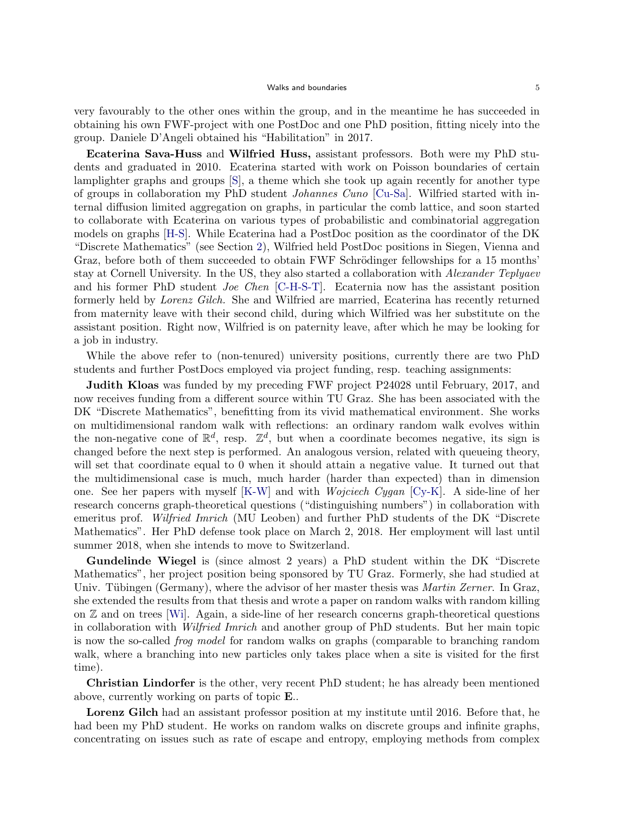very favourably to the other ones within the group, and in the meantime he has succeeded in obtaining his own FWF-project with one PostDoc and one PhD position, fitting nicely into the group. Daniele D'Angeli obtained his "Habilitation" in 2017.

**Ecaterina Sava-Huss** and **Wilfried Huss,** assistant professors. Both were my PhD students and graduated in 2010. Ecaterina started with work on Poisson boundaries of certain lamplighter graphs and groups [S], a theme which she took up again recently for another type of groups in collaboration my PhD student *Johannes Cuno* [Cu-Sa]. Wilfried started with internal diffusion limited aggregation on graphs, in particular the comb lattice, and soon started to collaborate with Ecaterina on various types of probabilistic and combinatorial aggregation models on graphs [H-S]. While Ecaterina had a PostDoc position as the coordinator of the DK "Discrete Mathematics" (see Section 2), Wilfried held PostDoc positions in Siegen, Vienna and Graz, before both of them succeeded to obtain FWF Schrödinger fellowships for a 15 months' stay at Cornell University. In the US, they also started a collaboration with *Alexander Teplyaev* and his former PhD student *Joe Chen* [C-H-S-T]. Ecaternia now has the assistant position formerly held by *Lorenz Gilch.* She and Wilfried are married, Ecaterina has recently returned from maternity leave with their second child, during which Wilfried was her substitute on the assistant position. Right now, Wilfried is on paternity leave, after which he may be looking for a job in industry.

While the above refer to (non-tenured) university positions, currently there are two PhD students and further PostDocs employed via project funding, resp. teaching assignments:

**Judith Kloas** was funded by my preceding FWF project P24028 until February, 2017, and now receives funding from a different source within TU Graz. She has been associated with the DK "Discrete Mathematics", benefitting from its vivid mathematical environment. She works on multidimensional random walk with reflections: an ordinary random walk evolves within the non-negative cone of  $\mathbb{R}^d$ , resp.  $\mathbb{Z}^d$ , but when a coordinate becomes negative, its sign is changed before the next step is performed. An analogous version, related with queueing theory, will set that coordinate equal to 0 when it should attain a negative value. It turned out that the multidimensional case is much, much harder (harder than expected) than in dimension one. See her papers with myself [K-W] and with *Wojciech Cygan* [Cy-K]. A side-line of her research concerns graph-theoretical questions ("distinguishing numbers") in collaboration with emeritus prof. *Wilfried Imrich* (MU Leoben) and further PhD students of the DK "Discrete Mathematics". Her PhD defense took place on March 2, 2018. Her employment will last until summer 2018, when she intends to move to Switzerland.

**Gundelinde Wiegel** is (since almost 2 years) a PhD student within the DK "Discrete Mathematics", her project position being sponsored by TU Graz. Formerly, she had studied at Univ. Tübingen (Germany), where the advisor of her master thesis was *Martin Zerner*. In Graz, she extended the results from that thesis and wrote a paper on random walks with random killing on  $\mathbb Z$  and on trees [Wi]. Again, a side-line of her research concerns graph-theoretical questions in collaboration with *Wilfried Imrich* and another group of PhD students. But her main topic is now the so-called *frog model* for random walks on graphs (comparable to branching random walk, where a branching into new particles only takes place when a site is visited for the first time).

**Christian Lindorfer** is the other, very recent PhD student; he has already been mentioned above, currently working on parts of topic **E**..

**Lorenz Gilch** had an assistant professor position at my institute until 2016. Before that, he had been my PhD student. He works on random walks on discrete groups and infinite graphs, concentrating on issues such as rate of escape and entropy, employing methods from complex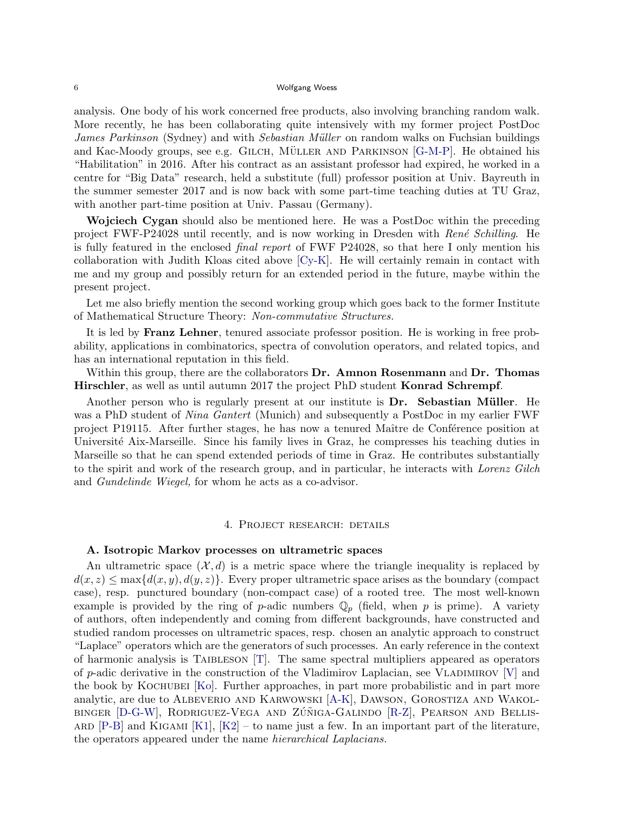analysis. One body of his work concerned free products, also involving branching random walk. More recently, he has been collaborating quite intensively with my former project PostDoc *James Parkinson* (Sydney) and with *Sebastian Müller* on random walks on Fuchsian buildings and Kac-Moody groups, see e.g. GILCH, MÜLLER AND PARKINSON  $[G-M-P]$ . He obtained his "Habilitation" in 2016. After his contract as an assistant professor had expired, he worked in a centre for "Big Data" research, held a substitute (full) professor position at Univ. Bayreuth in the summer semester 2017 and is now back with some part-time teaching duties at TU Graz, with another part-time position at Univ. Passau (Germany).

**Wojciech Cygan** should also be mentioned here. He was a PostDoc within the preceding project FWF-P24028 until recently, and is now working in Dresden with *Ren´e Schilling*. He is fully featured in the enclosed *final report* of FWF P24028, so that here I only mention his collaboration with Judith Kloas cited above [Cy-K]. He will certainly remain in contact with me and my group and possibly return for an extended period in the future, maybe within the present project.

Let me also briefly mention the second working group which goes back to the former Institute of Mathematical Structure Theory: *Non-commutative Structures.*

It is led by **Franz Lehner**, tenured associate professor position. He is working in free probability, applications in combinatorics, spectra of convolution operators, and related topics, and has an international reputation in this field.

Within this group, there are the collaborators **Dr. Amnon Rosenmann** and **Dr. Thomas Hirschler**, as well as until autumn 2017 the project PhD student **Konrad Schrempf**.

Another person who is regularly present at our institute is **Dr.** Sebastian Müller. He was a PhD student of *Nina Gantert* (Munich) and subsequently a PostDoc in my earlier FWF project P19115. After further stages, he has now a tenured Maître de Conférence position at Université Aix-Marseille. Since his family lives in Graz, he compresses his teaching duties in Marseille so that he can spend extended periods of time in Graz. He contributes substantially to the spirit and work of the research group, and in particular, he interacts with *Lorenz Gilch* and *Gundelinde Wiegel,* for whom he acts as a co-advisor.

## 4. Project research: details

#### **A. Isotropic Markov processes on ultrametric spaces**

An ultrametric space  $(\mathcal{X}, d)$  is a metric space where the triangle inequality is replaced by  $d(x, z) \leq \max\{d(x, y), d(y, z)\}\.$  Every proper ultrametric space arises as the boundary (compact case), resp. punctured boundary (non-compact case) of a rooted tree. The most well-known example is provided by the ring of *p*-adic numbers  $\mathbb{Q}_p$  (field, when *p* is prime). A variety of authors, often independently and coming from different backgrounds, have constructed and studied random processes on ultrametric spaces, resp. chosen an analytic approach to construct "Laplace" operators which are the generators of such processes. An early reference in the context of harmonic analysis is TAIBLESON  $[T]$ . The same spectral multipliers appeared as operators of *p*-adic derivative in the construction of the Vladimirov Laplacian, see Vladimirov [V] and the book by Kochubei [Ko]. Further approaches, in part more probabilistic and in part more analytic, are due to Albeverio and Karwowski [A-K], Dawson, Gorostiza and Wakolbinger  $[D-G-W]$ , Rodriguez-Vega and Zúñiga-Galindo  $[R-Z]$ , Pearson and Bellis-ARD  $[P-B]$  and KIGAMI  $[K1]$ ,  $[K2]$  – to name just a few. In an important part of the literature, the operators appeared under the name *hierarchical Laplacians.*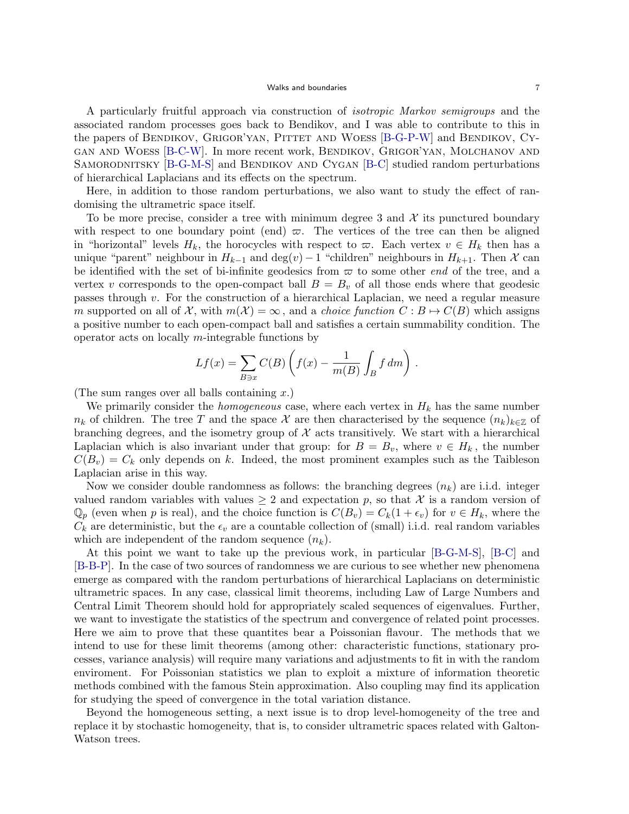A particularly fruitful approach via construction of *isotropic Markov semigroups* and the associated random processes goes back to Bendikov, and I was able to contribute to this in the papers of BENDIKOV, GRIGOR'YAN, PITTET AND WOESS [B-G-P-W] and BENDIKOV, CYgan and Woess [B-C-W]. In more recent work, Bendikov, Grigor'yan, Molchanov and SAMORODNITSKY [B-G-M-S] and BENDIKOV AND CYGAN [B-C] studied random perturbations of hierarchical Laplacians and its effects on the spectrum.

Here, in addition to those random perturbations, we also want to study the effect of randomising the ultrametric space itself.

To be more precise, consider a tree with minimum degree 3 and  $\mathcal X$  its punctured boundary with respect to one boundary point (end)  $\varpi$ . The vertices of the tree can then be aligned in "horizontal" levels  $H_k$ , the horocycles with respect to  $\varpi$ . Each vertex  $v \in H_k$  then has a unique "parent" neighbour in  $H_{k-1}$  and  $\deg(v) - 1$  "children" neighbours in  $H_{k+1}$ . Then  $\mathcal X$  can be identified with the set of bi-infinite geodesics from  $\varpi$  to some other *end* of the tree, and a vertex *v* corresponds to the open-compact ball  $B = B<sub>v</sub>$  of all those ends where that geodesic passes through *v*. For the construction of a hierarchical Laplacian, we need a regular measure *m* supported on all of  $\mathcal{X}$ , with  $m(\mathcal{X}) = \infty$ , and a *choice function*  $C : B \mapsto C(B)$  which assigns a positive number to each open-compact ball and satisfies a certain summability condition. The operator acts on locally *m*-integrable functions by

$$
Lf(x) = \sum_{B \ni x} C(B) \left( f(x) - \frac{1}{m(B)} \int_B f dm \right).
$$

(The sum ranges over all balls containing *x*.)

We primarily consider the *homogeneous* case, where each vertex in  $H_k$  has the same number  $n_k$  of children. The tree *T* and the space *X* are then characterised by the sequence  $(n_k)_{k\in\mathbb{Z}}$  of branching degrees, and the isometry group of  $\mathcal X$  acts transitively. We start with a hierarchical Laplacian which is also invariant under that group: for  $B = B_v$ , where  $v \in H_k$ , the number  $C(B_v) = C_k$  only depends on *k*. Indeed, the most prominent examples such as the Taibleson Laplacian arise in this way.

Now we consider double randomness as follows: the branching degrees  $(n_k)$  are i.i.d. integer valued random variables with values  $\geq 2$  and expectation p, so that X is a random version of  $\mathbb{Q}_p$  (even when *p* is real), and the choice function is  $C(B_v) = C_k(1 + \epsilon_v)$  for  $v \in H_k$ , where the  $C_k$  are deterministic, but the  $\epsilon_v$  are a countable collection of (small) i.i.d. real random variables which are independent of the random sequence (*nk*).

At this point we want to take up the previous work, in particular [B-G-M-S], [B-C] and [B-B-P]. In the case of two sources of randomness we are curious to see whether new phenomena emerge as compared with the random perturbations of hierarchical Laplacians on deterministic ultrametric spaces. In any case, classical limit theorems, including Law of Large Numbers and Central Limit Theorem should hold for appropriately scaled sequences of eigenvalues. Further, we want to investigate the statistics of the spectrum and convergence of related point processes. Here we aim to prove that these quantites bear a Poissonian flavour. The methods that we intend to use for these limit theorems (among other: characteristic functions, stationary processes, variance analysis) will require many variations and adjustments to fit in with the random enviroment. For Poissonian statistics we plan to exploit a mixture of information theoretic methods combined with the famous Stein approximation. Also coupling may find its application for studying the speed of convergence in the total variation distance.

Beyond the homogeneous setting, a next issue is to drop level-homogeneity of the tree and replace it by stochastic homogeneity, that is, to consider ultrametric spaces related with Galton-Watson trees.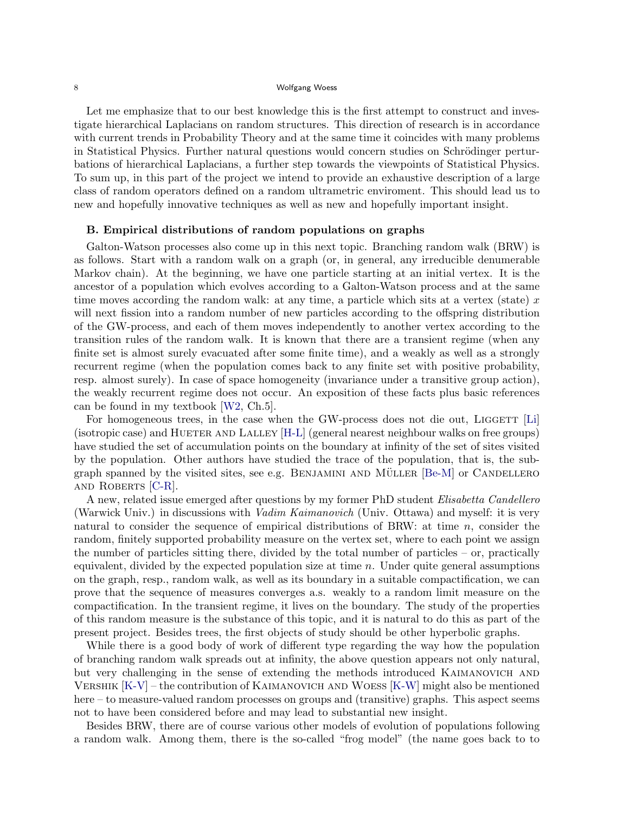Let me emphasize that to our best knowledge this is the first attempt to construct and investigate hierarchical Laplacians on random structures. This direction of research is in accordance with current trends in Probability Theory and at the same time it coincides with many problems in Statistical Physics. Further natural questions would concern studies on Schrödinger perturbations of hierarchical Laplacians, a further step towards the viewpoints of Statistical Physics. To sum up, in this part of the project we intend to provide an exhaustive description of a large class of random operators defined on a random ultrametric enviroment. This should lead us to new and hopefully innovative techniques as well as new and hopefully important insight.

### **B. Empirical distributions of random populations on graphs**

Galton-Watson processes also come up in this next topic. Branching random walk (BRW) is as follows. Start with a random walk on a graph (or, in general, any irreducible denumerable Markov chain). At the beginning, we have one particle starting at an initial vertex. It is the ancestor of a population which evolves according to a Galton-Watson process and at the same time moves according the random walk: at any time, a particle which sits at a vertex (state) *x* will next fission into a random number of new particles according to the offspring distribution of the GW-process, and each of them moves independently to another vertex according to the transition rules of the random walk. It is known that there are a transient regime (when any finite set is almost surely evacuated after some finite time), and a weakly as well as a strongly recurrent regime (when the population comes back to any finite set with positive probability, resp. almost surely). In case of space homogeneity (invariance under a transitive group action), the weakly recurrent regime does not occur. An exposition of these facts plus basic references can be found in my textbook [W2, Ch.5].

For homogeneous trees, in the case when the GW-process does not die out, LIGGETT  $[L]$ (isotropic case) and HUETER AND LALLEY [H-L] (general nearest neighbour walks on free groups) have studied the set of accumulation points on the boundary at infinity of the set of sites visited by the population. Other authors have studied the trace of the population, that is, the subgraph spanned by the visited sites, see e.g. BENJAMINI AND MÜLLER  $[Be-M]$  or CANDELLERO and Roberts [C-R].

A new, related issue emerged after questions by my former PhD student *Elisabetta Candellero* (Warwick Univ.) in discussions with *Vadim Kaimanovich* (Univ. Ottawa) and myself: it is very natural to consider the sequence of empirical distributions of BRW: at time *n*, consider the random, finitely supported probability measure on the vertex set, where to each point we assign the number of particles sitting there, divided by the total number of particles – or, practically equivalent, divided by the expected population size at time *n*. Under quite general assumptions on the graph, resp., random walk, as well as its boundary in a suitable compactification, we can prove that the sequence of measures converges a.s. weakly to a random limit measure on the compactification. In the transient regime, it lives on the boundary. The study of the properties of this random measure is the substance of this topic, and it is natural to do this as part of the present project. Besides trees, the first objects of study should be other hyperbolic graphs.

While there is a good body of work of different type regarding the way how the population of branching random walk spreads out at infinity, the above question appears not only natural, but very challenging in the sense of extending the methods introduced KAIMANOVICH AND Vershik [K-V] – the contribution of Kaimanovich and Woess [K-W] might also be mentioned here – to measure-valued random processes on groups and (transitive) graphs. This aspect seems not to have been considered before and may lead to substantial new insight.

Besides BRW, there are of course various other models of evolution of populations following a random walk. Among them, there is the so-called "frog model" (the name goes back to to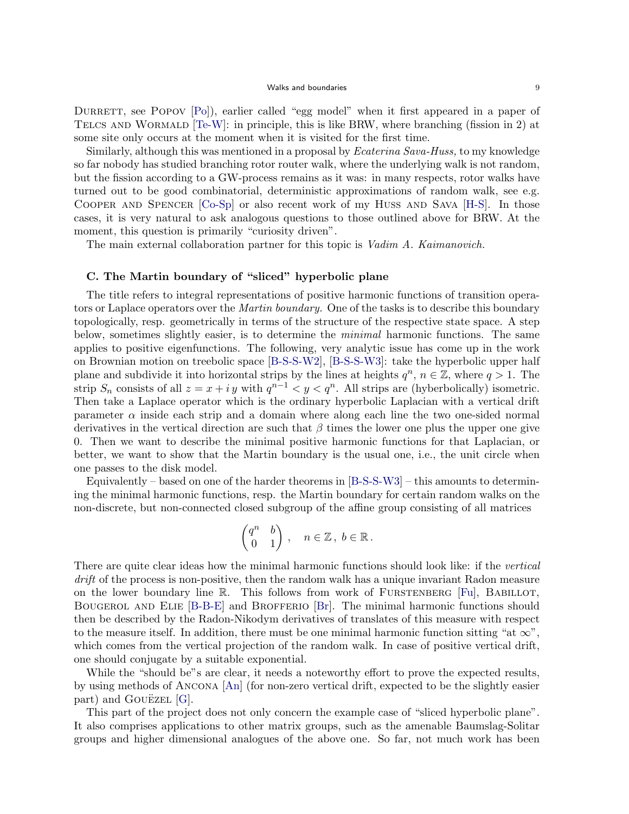DURRETT, see POPOV [Po]), earlier called "egg model" when it first appeared in a paper of TELCS AND WORMALD  $T_{e}-W$ : in principle, this is like BRW, where branching (fission in 2) at some site only occurs at the moment when it is visited for the first time.

Similarly, although this was mentioned in a proposal by *Ecaterina Sava-Huss,* to my knowledge so far nobody has studied branching rotor router walk, where the underlying walk is not random, but the fission according to a GW-process remains as it was: in many respects, rotor walks have turned out to be good combinatorial, deterministic approximations of random walk, see e.g. Cooper and Spencer [Co-Sp] or also recent work of my Huss and Sava [H-S]. In those cases, it is very natural to ask analogous questions to those outlined above for BRW. At the moment, this question is primarily "curiosity driven".

The main external collaboration partner for this topic is *Vadim A. Kaimanovich.*

## **C. The Martin boundary of "sliced" hyperbolic plane**

The title refers to integral representations of positive harmonic functions of transition operators or Laplace operators over the *Martin boundary.* One of the tasks is to describe this boundary topologically, resp. geometrically in terms of the structure of the respective state space. A step below, sometimes slightly easier, is to determine the *minimal* harmonic functions. The same applies to positive eigenfunctions. The following, very analytic issue has come up in the work on Brownian motion on treebolic space [B-S-S-W2], [B-S-S-W3]: take the hyperbolic upper half plane and subdivide it into horizontal strips by the lines at heights  $q^n$ ,  $n \in \mathbb{Z}$ , where  $q > 1$ . The strip  $S_n$  consists of all  $z = x + iy$  with  $q^{n-1} < y < q^n$ . All strips are (hyberbolically) isometric. Then take a Laplace operator which is the ordinary hyperbolic Laplacian with a vertical drift parameter  $\alpha$  inside each strip and a domain where along each line the two one-sided normal derivatives in the vertical direction are such that *β* times the lower one plus the upper one give 0. Then we want to describe the minimal positive harmonic functions for that Laplacian, or better, we want to show that the Martin boundary is the usual one, i.e., the unit circle when one passes to the disk model.

Equivalently – based on one of the harder theorems in  $[B-S-S-W3]$  – this amounts to determining the minimal harmonic functions, resp. the Martin boundary for certain random walks on the non-discrete, but non-connected closed subgroup of the affine group consisting of all matrices

$$
\begin{pmatrix} q^n & b \\ 0 & 1 \end{pmatrix} , \quad n \in \mathbb{Z} \, , \; b \in \mathbb{R} \, .
$$

There are quite clear ideas how the minimal harmonic functions should look like: if the *vertical drift* of the process is non-positive, then the random walk has a unique invariant Radon measure on the lower boundary line R. This follows from work of FURSTENBERG [Fu], BABILLOT, Bougerol and Elie [B-B-E] and Brofferio [Br]. The minimal harmonic functions should then be described by the Radon-Nikodym derivatives of translates of this measure with respect to the measure itself. In addition, there must be one minimal harmonic function sitting "at  $\infty$ ", which comes from the vertical projection of the random walk. In case of positive vertical drift, one should conjugate by a suitable exponential.

While the "should be"s are clear, it needs a noteworthy effort to prove the expected results, by using methods of Ancona [An] (for non-zero vertical drift, expected to be the slightly easier part) and GOUEZEL  $[G]$ .

This part of the project does not only concern the example case of "sliced hyperbolic plane". It also comprises applications to other matrix groups, such as the amenable Baumslag-Solitar groups and higher dimensional analogues of the above one. So far, not much work has been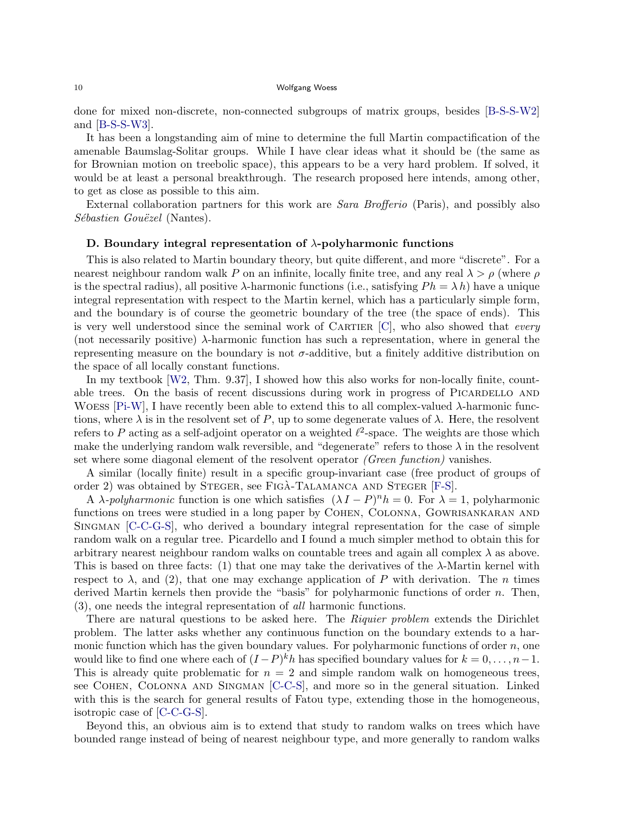done for mixed non-discrete, non-connected subgroups of matrix groups, besides [B-S-S-W2] and [B-S-S-W3].

It has been a longstanding aim of mine to determine the full Martin compactification of the amenable Baumslag-Solitar groups. While I have clear ideas what it should be (the same as for Brownian motion on treebolic space), this appears to be a very hard problem. If solved, it would be at least a personal breakthrough. The research proposed here intends, among other, to get as close as possible to this aim.

External collaboration partners for this work are *Sara Brofferio* (Paris), and possibly also *Sébastien Gouëzel* (Nantes).

### **D. Boundary integral representation of** *λ***-polyharmonic functions**

This is also related to Martin boundary theory, but quite different, and more "discrete". For a nearest neighbour random walk *P* on an infinite, locally finite tree, and any real *λ > ρ* (where *ρ* is the spectral radius), all positive  $\lambda$ -harmonic functions (i.e., satisfying  $Ph = \lambda h$ ) have a unique integral representation with respect to the Martin kernel, which has a particularly simple form, and the boundary is of course the geometric boundary of the tree (the space of ends). This is very well understood since the seminal work of Cartier [C], who also showed that *every* (not necessarily positive) *λ*-harmonic function has such a representation, where in general the representing measure on the boundary is not  $\sigma$ -additive, but a finitely additive distribution on the space of all locally constant functions.

In my textbook [W2, Thm. 9.37], I showed how this also works for non-locally finite, countable trees. On the basis of recent discussions during work in progress of PICARDELLO AND Woess [Pi-W], I have recently been able to extend this to all complex-valued *λ*-harmonic functions, where  $\lambda$  is in the resolvent set of P, up to some degenerate values of  $\lambda$ . Here, the resolvent refers to  $P$  acting as a self-adjoint operator on a weighted  $\ell^2$ -space. The weights are those which make the underlying random walk reversible, and "degenerate" refers to those  $\lambda$  in the resolvent set where some diagonal element of the resolvent operator *(Green function)* vanishes.

A similar (locally finite) result in a specific group-invariant case (free product of groups of order 2) was obtained by STEGER, see FIGA-TALAMANCA AND STEGER [F-S].

A *λ-polyharmonic* function is one which satisfies  $(\lambda I - P)^n h = 0$ . For  $\lambda = 1$ , polyharmonic functions on trees were studied in a long paper by COHEN, COLONNA, GOWRISANKARAN AND Singman [C-C-G-S], who derived a boundary integral representation for the case of simple random walk on a regular tree. Picardello and I found a much simpler method to obtain this for arbitrary nearest neighbour random walks on countable trees and again all complex  $\lambda$  as above. This is based on three facts: (1) that one may take the derivatives of the *λ*-Martin kernel with respect to  $\lambda$ , and (2), that one may exchange application of P with derivation. The *n* times derived Martin kernels then provide the "basis" for polyharmonic functions of order *n*. Then, (3), one needs the integral representation of *all* harmonic functions.

There are natural questions to be asked here. The *Riquier problem* extends the Dirichlet problem. The latter asks whether any continuous function on the boundary extends to a harmonic function which has the given boundary values. For polyharmonic functions of order *n*, one would like to find one where each of  $(I - P)^k h$  has specified boundary values for  $k = 0, \ldots, n-1$ . This is already quite problematic for  $n = 2$  and simple random walk on homogeneous trees, see Cohen, Colonna and Singman [C-C-S], and more so in the general situation. Linked with this is the search for general results of Fatou type, extending those in the homogeneous, isotropic case of [C-C-G-S].

Beyond this, an obvious aim is to extend that study to random walks on trees which have bounded range instead of being of nearest neighbour type, and more generally to random walks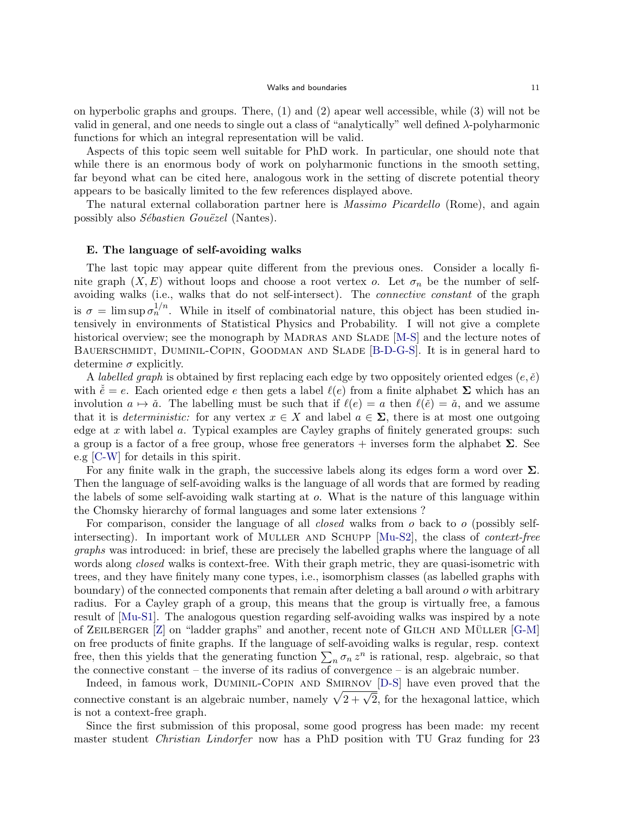on hyperbolic graphs and groups. There, (1) and (2) apear well accessible, while (3) will not be valid in general, and one needs to single out a class of "analytically" well defined *λ*-polyharmonic functions for which an integral representation will be valid.

Aspects of this topic seem well suitable for PhD work. In particular, one should note that while there is an enormous body of work on polyharmonic functions in the smooth setting, far beyond what can be cited here, analogous work in the setting of discrete potential theory appears to be basically limited to the few references displayed above.

The natural external collaboration partner here is *Massimo Picardello* (Rome), and again possibly also *Sébastien Gouëzel* (Nantes).

### **E. The language of self-avoiding walks**

The last topic may appear quite different from the previous ones. Consider a locally finite graph  $(X, E)$  without loops and choose a root vertex *o*. Let  $\sigma_n$  be the number of selfavoiding walks (i.e., walks that do not self-intersect). The *connective constant* of the graph is  $\sigma = \limsup \sigma_n^{1/n}$ . While in itself of combinatorial nature, this object has been studied intensively in environments of Statistical Physics and Probability. I will not give a complete historical overview; see the monograph by MADRAS AND SLADE [M-S] and the lecture notes of BAUERSCHMIDT, DUMINIL-COPIN, GOODMAN AND SLADE [B-D-G-S]. It is in general hard to determine  $\sigma$  explicitly.

A *labelled graph* is obtained by first replacing each edge by two oppositely oriented edges  $(e, \check{e})$ with  $\check{e} = e$ . Each oriented edge *e* then gets a label  $\ell(e)$  from a finite alphabet  $\Sigma$  which has an involution  $a \mapsto \check{a}$ . The labelling must be such that if  $\ell(e) = a$  then  $\ell(\check{e}) = \check{a}$ , and we assume that it is *deterministic:* for any vertex  $x \in X$  and label  $a \in \Sigma$ , there is at most one outgoing edge at *x* with label *a*. Typical examples are Cayley graphs of finitely generated groups: such a group is a factor of a free group, whose free generators  $+$  inverses form the alphabet  $\Sigma$ . See e.g [C-W] for details in this spirit.

For any finite walk in the graph, the successive labels along its edges form a word over **Σ**. Then the language of self-avoiding walks is the language of all words that are formed by reading the labels of some self-avoiding walk starting at *o*. What is the nature of this language within the Chomsky hierarchy of formal languages and some later extensions ?

For comparison, consider the language of all *closed* walks from *o* back to *o* (possibly selfintersecting). In important work of Muller and Schupp [Mu-S2], the class of *context-free graphs* was introduced: in brief, these are precisely the labelled graphs where the language of all words along *closed* walks is context-free. With their graph metric, they are quasi-isometric with trees, and they have finitely many cone types, i.e., isomorphism classes (as labelled graphs with boundary) of the connected components that remain after deleting a ball around *o* with arbitrary radius. For a Cayley graph of a group, this means that the group is virtually free, a famous result of [Mu-S1]. The analogous question regarding self-avoiding walks was inspired by a note of ZEILBERGER  $[Z]$  on "ladder graphs" and another, recent note of GILCH AND MÜLLER  $[G-M]$ on free products of finite graphs. If the language of self-avoiding walks is regular, resp. context free, then this yields that the generating function  $\sum_{n} \sigma_n z^n$  is rational, resp. algebraic, so that the connective constant – the inverse of its radius of convergence – is an algebraic number.

Indeed, in famous work, Duminil-Copin and Smirnov [D-S] have even proved that the connective constant is an algebraic number, namely  $\sqrt{2+\sqrt{2}}$ , for the hexagonal lattice, which is not a context-free graph.

Since the first submission of this proposal, some good progress has been made: my recent master student *Christian Lindorfer* now has a PhD position with TU Graz funding for 23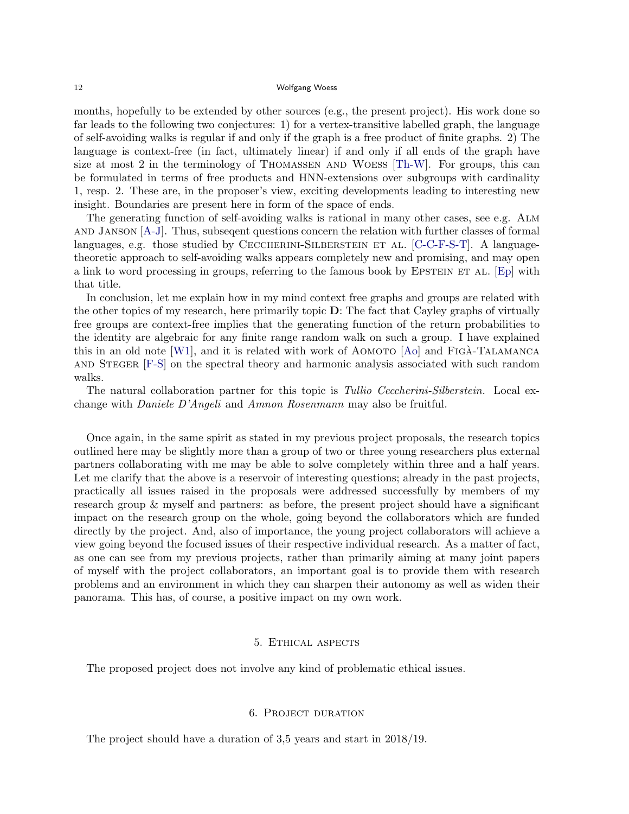months, hopefully to be extended by other sources (e.g., the present project). His work done so far leads to the following two conjectures: 1) for a vertex-transitive labelled graph, the language of self-avoiding walks is regular if and only if the graph is a free product of finite graphs. 2) The language is context-free (in fact, ultimately linear) if and only if all ends of the graph have size at most 2 in the terminology of Thomassen and Woess [Th-W]. For groups, this can be formulated in terms of free products and HNN-extensions over subgroups with cardinality 1, resp. 2. These are, in the proposer's view, exciting developments leading to interesting new insight. Boundaries are present here in form of the space of ends.

The generating function of self-avoiding walks is rational in many other cases, see e.g. Alm and Janson [A-J]. Thus, subseqent questions concern the relation with further classes of formal languages, e.g. those studied by CECCHERINI-SILBERSTEIN ET AL. [C-C-F-S-T]. A languagetheoretic approach to self-avoiding walks appears completely new and promising, and may open a link to word processing in groups, referring to the famous book by EPSTEIN ET AL. [Ep] with that title.

In conclusion, let me explain how in my mind context free graphs and groups are related with the other topics of my research, here primarily topic **D**: The fact that Cayley graphs of virtually free groups are context-free implies that the generating function of the return probabilities to the identity are algebraic for any finite range random walk on such a group. I have explained this in an old note [W1], and it is related with work of AOMOTO  $[A\text{o}]$  and FIGA-TALAMANCA and Steger [F-S] on the spectral theory and harmonic analysis associated with such random walks.

The natural collaboration partner for this topic is *Tullio Ceccherini-Silberstein.* Local exchange with *Daniele D'Angeli* and *Amnon Rosenmann* may also be fruitful.

Once again, in the same spirit as stated in my previous project proposals, the research topics outlined here may be slightly more than a group of two or three young researchers plus external partners collaborating with me may be able to solve completely within three and a half years. Let me clarify that the above is a reservoir of interesting questions; already in the past projects, practically all issues raised in the proposals were addressed successfully by members of my research group & myself and partners: as before, the present project should have a significant impact on the research group on the whole, going beyond the collaborators which are funded directly by the project. And, also of importance, the young project collaborators will achieve a view going beyond the focused issues of their respective individual research. As a matter of fact, as one can see from my previous projects, rather than primarily aiming at many joint papers of myself with the project collaborators, an important goal is to provide them with research problems and an environment in which they can sharpen their autonomy as well as widen their panorama. This has, of course, a positive impact on my own work.

### 5. Ethical aspects

The proposed project does not involve any kind of problematic ethical issues.

### 6. Project duration

The project should have a duration of 3,5 years and start in 2018/19.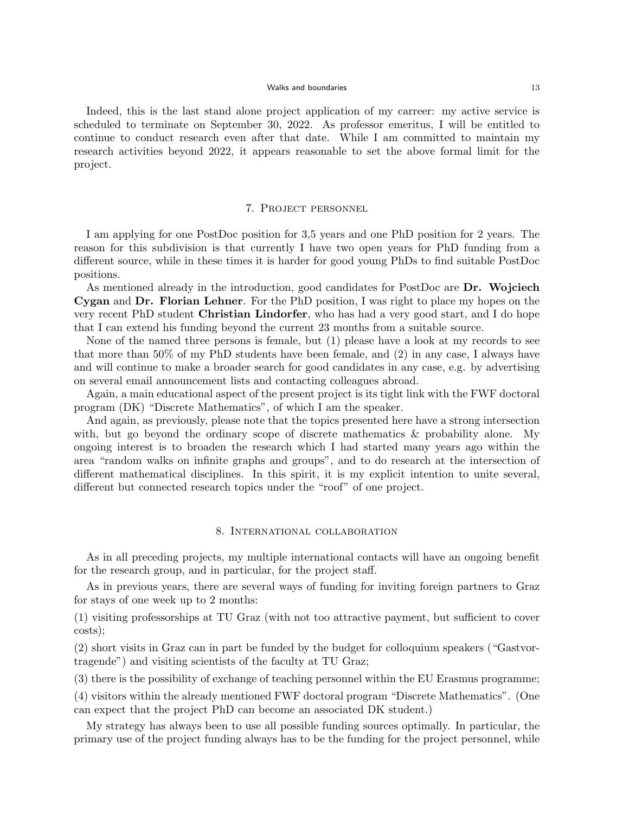#### Walks and boundaries and the state of the 13 million of the 13 million of the 13 million of the 13 million of the 13 million of the 13 million of the 13 million of the 13 million of the 13 million of the 14 million of the

Indeed, this is the last stand alone project application of my carreer: my active service is scheduled to terminate on September 30, 2022. As professor emeritus, I will be entitled to continue to conduct research even after that date. While I am committed to maintain my research activities beyond 2022, it appears reasonable to set the above formal limit for the project.

### 7. Project personnel

I am applying for one PostDoc position for 3,5 years and one PhD position for 2 years. The reason for this subdivision is that currently I have two open years for PhD funding from a different source, while in these times it is harder for good young PhDs to find suitable PostDoc positions.

As mentioned already in the introduction, good candidates for PostDoc are **Dr. Wojciech Cygan** and **Dr. Florian Lehner**. For the PhD position, I was right to place my hopes on the very recent PhD student **Christian Lindorfer**, who has had a very good start, and I do hope that I can extend his funding beyond the current 23 months from a suitable source.

None of the named three persons is female, but (1) please have a look at my records to see that more than 50% of my PhD students have been female, and (2) in any case, I always have and will continue to make a broader search for good candidates in any case, e.g. by advertising on several email announcement lists and contacting colleagues abroad.

Again, a main educational aspect of the present project is its tight link with the FWF doctoral program (DK) "Discrete Mathematics", of which I am the speaker.

And again, as previously, please note that the topics presented here have a strong intersection with, but go beyond the ordinary scope of discrete mathematics & probability alone. My ongoing interest is to broaden the research which I had started many years ago within the area "random walks on infinite graphs and groups", and to do research at the intersection of different mathematical disciplines. In this spirit, it is my explicit intention to unite several, different but connected research topics under the "roof" of one project.

### 8. International collaboration

As in all preceding projects, my multiple international contacts will have an ongoing benefit for the research group, and in particular, for the project staff.

As in previous years, there are several ways of funding for inviting foreign partners to Graz for stays of one week up to 2 months:

(1) visiting professorships at TU Graz (with not too attractive payment, but sufficient to cover costs);

(2) short visits in Graz can in part be funded by the budget for colloquium speakers ("Gastvortragende") and visiting scientists of the faculty at TU Graz;

(3) there is the possibility of exchange of teaching personnel within the EU Erasmus programme;

(4) visitors within the already mentioned FWF doctoral program "Discrete Mathematics". (One can expect that the project PhD can become an associated DK student.)

My strategy has always been to use all possible funding sources optimally. In particular, the primary use of the project funding always has to be the funding for the project personnel, while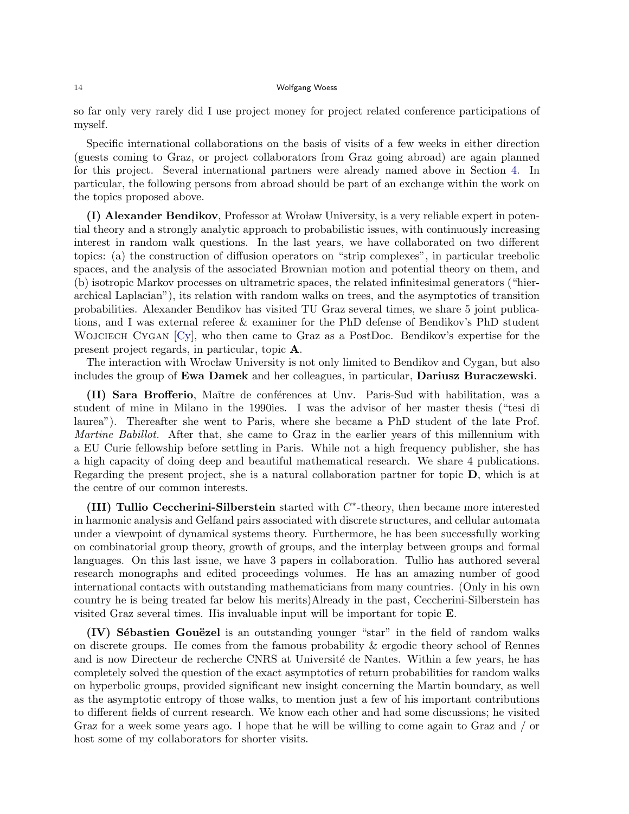so far only very rarely did I use project money for project related conference participations of myself.

Specific international collaborations on the basis of visits of a few weeks in either direction (guests coming to Graz, or project collaborators from Graz going abroad) are again planned for this project. Several international partners were already named above in Section 4. In particular, the following persons from abroad should be part of an exchange within the work on the topics proposed above.

**(I) Alexander Bendikov**, Professor at Wrolaw University, is a very reliable expert in potential theory and a strongly analytic approach to probabilistic issues, with continuously increasing interest in random walk questions. In the last years, we have collaborated on two different topics: (a) the construction of diffusion operators on "strip complexes", in particular treebolic spaces, and the analysis of the associated Brownian motion and potential theory on them, and (b) isotropic Markov processes on ultrametric spaces, the related infinitesimal generators ("hierarchical Laplacian"), its relation with random walks on trees, and the asymptotics of transition probabilities. Alexander Bendikov has visited TU Graz several times, we share 5 joint publications, and I was external referee & examiner for the PhD defense of Bendikov's PhD student WOJCIECH CYGAN  $[C_y]$ , who then came to Graz as a PostDoc. Bendikov's expertise for the present project regards, in particular, topic **A**.

The interaction with Wrocław University is not only limited to Bendikov and Cygan, but also includes the group of **Ewa Damek** and her colleagues, in particular, **Dariusz Buraczewski**.

**(II) Sara Brofferio**, Maître de conférences at Unv. Paris-Sud with habilitation, was a student of mine in Milano in the 1990ies. I was the advisor of her master thesis ("tesi di laurea"). Thereafter she went to Paris, where she became a PhD student of the late Prof. *Martine Babillot.* After that, she came to Graz in the earlier years of this millennium with a EU Curie fellowship before settling in Paris. While not a high frequency publisher, she has a high capacity of doing deep and beautiful mathematical research. We share 4 publications. Regarding the present project, she is a natural collaboration partner for topic **D**, which is at the centre of our common interests.

**(III) Tullio Ceccherini-Silberstein** started with *C ∗* -theory, then became more interested in harmonic analysis and Gelfand pairs associated with discrete structures, and cellular automata under a viewpoint of dynamical systems theory. Furthermore, he has been successfully working on combinatorial group theory, growth of groups, and the interplay between groups and formal languages. On this last issue, we have 3 papers in collaboration. Tullio has authored several research monographs and edited proceedings volumes. He has an amazing number of good international contacts with outstanding mathematicians from many countries. (Only in his own country he is being treated far below his merits)Already in the past, Ceccherini-Silberstein has visited Graz several times. His invaluable input will be important for topic **E**.

**(IV) Sébastien Gouëzel** is an outstanding younger "star" in the field of random walks on discrete groups. He comes from the famous probability & ergodic theory school of Rennes and is now Directeur de recherche CNRS at Université de Nantes. Within a few years, he has completely solved the question of the exact asymptotics of return probabilities for random walks on hyperbolic groups, provided significant new insight concerning the Martin boundary, as well as the asymptotic entropy of those walks, to mention just a few of his important contributions to different fields of current research. We know each other and had some discussions; he visited Graz for a week some years ago. I hope that he will be willing to come again to Graz and / or host some of my collaborators for shorter visits.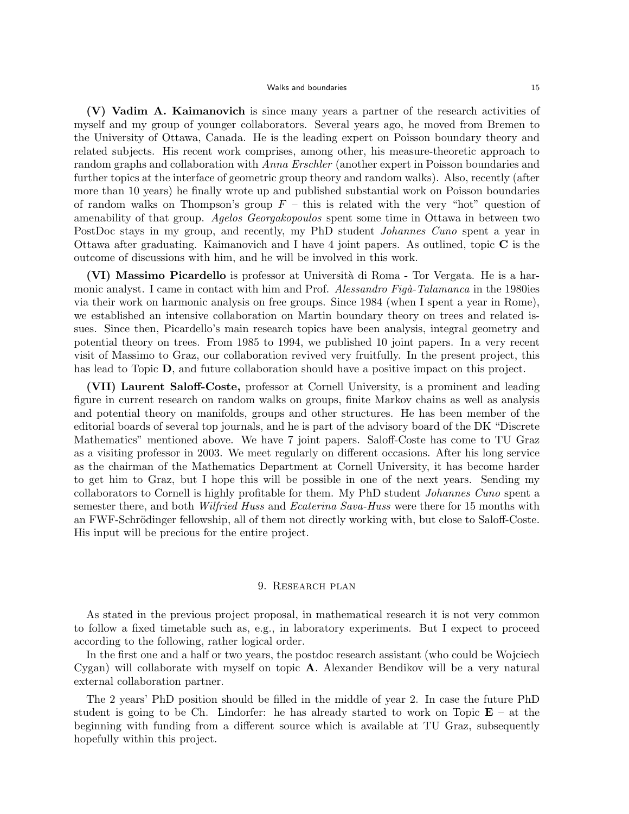#### Walks and boundaries and the state of the state of the state of the state of the state of the state of the state of the state of the state of the state of the state of the state of the state of the state of the state of th

**(V) Vadim A. Kaimanovich** is since many years a partner of the research activities of myself and my group of younger collaborators. Several years ago, he moved from Bremen to the University of Ottawa, Canada. He is the leading expert on Poisson boundary theory and related subjects. His recent work comprises, among other, his measure-theoretic approach to random graphs and collaboration with *Anna Erschler* (another expert in Poisson boundaries and further topics at the interface of geometric group theory and random walks). Also, recently (after more than 10 years) he finally wrote up and published substantial work on Poisson boundaries of random walks on Thompson's group  $F$  – this is related with the very "hot" question of amenability of that group. *Agelos Georgakopoulos* spent some time in Ottawa in between two PostDoc stays in my group, and recently, my PhD student *Johannes Cuno* spent a year in Ottawa after graduating. Kaimanovich and I have 4 joint papers. As outlined, topic **C** is the outcome of discussions with him, and he will be involved in this work.

**(VI) Massimo Picardello** is professor at Universit`a di Roma - Tor Vergata. He is a harmonic analyst. I came in contact with him and Prof. *Alessandro Figa-Talamanca* in the 1980ies via their work on harmonic analysis on free groups. Since 1984 (when I spent a year in Rome), we established an intensive collaboration on Martin boundary theory on trees and related issues. Since then, Picardello's main research topics have been analysis, integral geometry and potential theory on trees. From 1985 to 1994, we published 10 joint papers. In a very recent visit of Massimo to Graz, our collaboration revived very fruitfully. In the present project, this has lead to Topic **D**, and future collaboration should have a positive impact on this project.

**(VII) Laurent Saloff-Coste,** professor at Cornell University, is a prominent and leading figure in current research on random walks on groups, finite Markov chains as well as analysis and potential theory on manifolds, groups and other structures. He has been member of the editorial boards of several top journals, and he is part of the advisory board of the DK "Discrete Mathematics" mentioned above. We have 7 joint papers. Saloff-Coste has come to TU Graz as a visiting professor in 2003. We meet regularly on different occasions. After his long service as the chairman of the Mathematics Department at Cornell University, it has become harder to get him to Graz, but I hope this will be possible in one of the next years. Sending my collaborators to Cornell is highly profitable for them. My PhD student *Johannes Cuno* spent a semester there, and both *Wilfried Huss* and *Ecaterina Sava-Huss* were there for 15 months with an FWF-Schrödinger fellowship, all of them not directly working with, but close to Saloff-Coste. His input will be precious for the entire project.

### 9. Research plan

As stated in the previous project proposal, in mathematical research it is not very common to follow a fixed timetable such as, e.g., in laboratory experiments. But I expect to proceed according to the following, rather logical order.

In the first one and a half or two years, the postdoc research assistant (who could be Wojciech Cygan) will collaborate with myself on topic **A**. Alexander Bendikov will be a very natural external collaboration partner.

The 2 years' PhD position should be filled in the middle of year 2. In case the future PhD student is going to be Ch. Lindorfer: he has already started to work on Topic  $\mathbf{E}$  – at the beginning with funding from a different source which is available at TU Graz, subsequently hopefully within this project.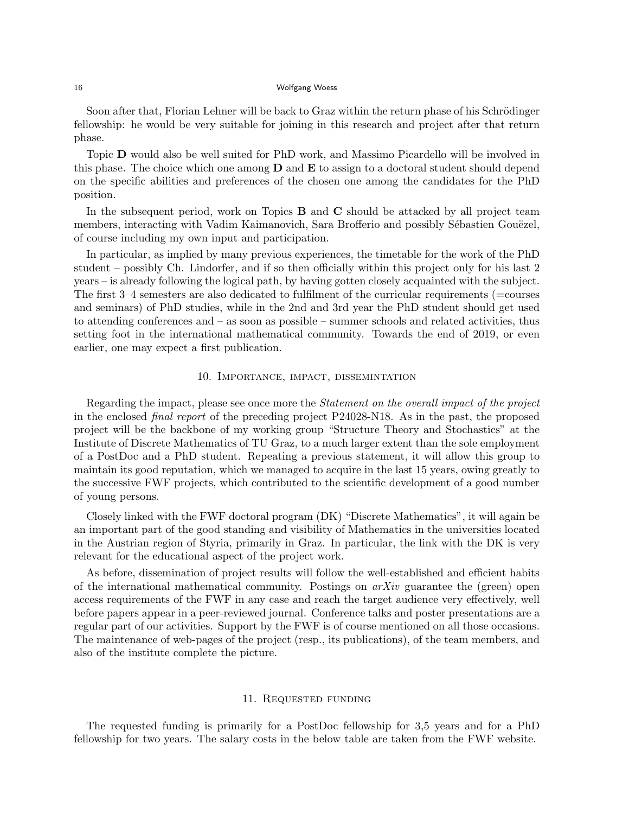Soon after that, Florian Lehner will be back to Graz within the return phase of his Schrödinger fellowship: he would be very suitable for joining in this research and project after that return phase.

Topic **D** would also be well suited for PhD work, and Massimo Picardello will be involved in this phase. The choice which one among **D** and **E** to assign to a doctoral student should depend on the specific abilities and preferences of the chosen one among the candidates for the PhD position.

In the subsequent period, work on Topics **B** and **C** should be attacked by all project team members, interacting with Vadim Kaimanovich, Sara Brofferio and possibly Sébastien Gouëzel, of course including my own input and participation.

In particular, as implied by many previous experiences, the timetable for the work of the PhD student – possibly Ch. Lindorfer, and if so then officially within this project only for his last 2 years – is already following the logical path, by having gotten closely acquainted with the subject. The first 3–4 semesters are also dedicated to fulfilment of the curricular requirements (=courses and seminars) of PhD studies, while in the 2nd and 3rd year the PhD student should get used to attending conferences and – as soon as possible – summer schools and related activities, thus setting foot in the international mathematical community. Towards the end of 2019, or even earlier, one may expect a first publication.

### 10. Importance, impact, dissemintation

Regarding the impact, please see once more the *Statement on the overall impact of the project* in the enclosed *final report* of the preceding project P24028-N18. As in the past, the proposed project will be the backbone of my working group "Structure Theory and Stochastics" at the Institute of Discrete Mathematics of TU Graz, to a much larger extent than the sole employment of a PostDoc and a PhD student. Repeating a previous statement, it will allow this group to maintain its good reputation, which we managed to acquire in the last 15 years, owing greatly to the successive FWF projects, which contributed to the scientific development of a good number of young persons.

Closely linked with the FWF doctoral program (DK) "Discrete Mathematics", it will again be an important part of the good standing and visibility of Mathematics in the universities located in the Austrian region of Styria, primarily in Graz. In particular, the link with the DK is very relevant for the educational aspect of the project work.

As before, dissemination of project results will follow the well-established and efficient habits of the international mathematical community. Postings on *arXiv* guarantee the (green) open access requirements of the FWF in any case and reach the target audience very effectively, well before papers appear in a peer-reviewed journal. Conference talks and poster presentations are a regular part of our activities. Support by the FWF is of course mentioned on all those occasions. The maintenance of web-pages of the project (resp., its publications), of the team members, and also of the institute complete the picture.

### 11. Requested funding

The requested funding is primarily for a PostDoc fellowship for 3,5 years and for a PhD fellowship for two years. The salary costs in the below table are taken from the FWF website.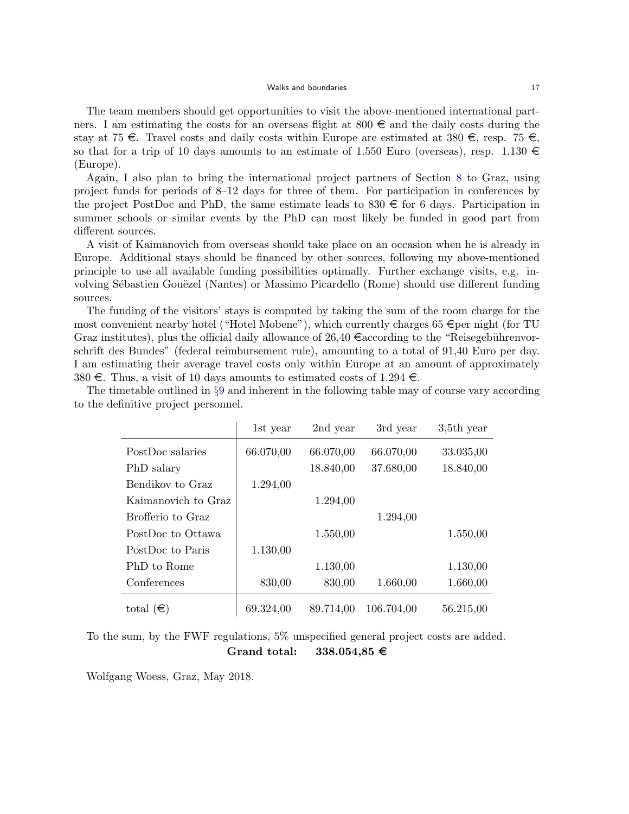#### Walks and boundaries and the state of the state of the state of the state of the state of the state of the state of the state of the state of the state of the state of the state of the state of the state of the state of th

The team members should get opportunities to visit the above-mentioned international partners. I am estimating the costs for an overseas flight at  $800 \in \text{and}$  the daily costs during the stay at 75  $\in$ . Travel costs and daily costs within Europe are estimated at 380  $\in$ , resp. 75  $\in$ , so that for a trip of 10 days amounts to an estimate of 1.550 Euro (overseas), resp. 1.130  $\in$ (Europe).

Again, I also plan to bring the international project partners of Section 8 to Graz, using project funds for periods of 8–12 days for three of them. For participation in conferences by the project PostDoc and PhD, the same estimate leads to  $830 \in$  for 6 days. Participation in summer schools or similar events by the PhD can most likely be funded in good part from different sources.

A visit of Kaimanovich from overseas should take place on an occasion when he is already in Europe. Additional stays should be financed by other sources, following my above-mentioned principle to use all available funding possibilities optimally. Further exchange visits, e.g. involving Sébastien Gouëzel (Nantes) or Massimo Picardello (Rome) should use different funding sources.

The funding of the visitors' stays is computed by taking the sum of the room charge for the most convenient nearby hotel ("Hotel Mobene"), which currently charges 65  $\epsilon$  per night (for TU Graz institutes), plus the official daily allowance of 26,40  $\in$  according to the "Reisegebührenvorschrift des Bundes" (federal reimbursement rule), amounting to a total of 91,40 Euro per day. I am estimating their average travel costs only within Europe at an amount of approximately 380  $\in$ . Thus, a visit of 10 days amounts to estimated costs of 1.294  $\in$ .

|                     | 1st year  | 2nd year  | 3rd year   | $3,5$ th year |
|---------------------|-----------|-----------|------------|---------------|
| PostDoc salaries    | 66.070,00 | 66.070,00 | 66.070,00  | 33.035,00     |
| PhD salary          |           | 18.840,00 | 37.680,00  | 18.840,00     |
| Bendikov to Graz    | 1.294,00  |           |            |               |
| Kaimanovich to Graz |           | 1.294,00  |            |               |
| Brofferio to Graz   |           |           | 1.294,00   |               |
| PostDoc to Ottawa   |           | 1.550,00  |            | 1.550,00      |
| PostDoc to Paris    | 1.130,00  |           |            |               |
| PhD to Rome         |           | 1.130,00  |            | 1.130,00      |
| Conferences         | 830,00    | 830,00    | 1.660,00   | 1.660,00      |
| total $(\epsilon)$  | 69.324,00 | 89.714,00 | 106.704,00 | 56.215,00     |

The timetable outlined in *§*9 and inherent in the following table may of course vary according to the definitive project personnel.

To the sum, by the FWF regulations, 5% unspecified general project costs are added. **Grand total: 338.054,85** e

Wolfgang Woess, Graz, May 2018.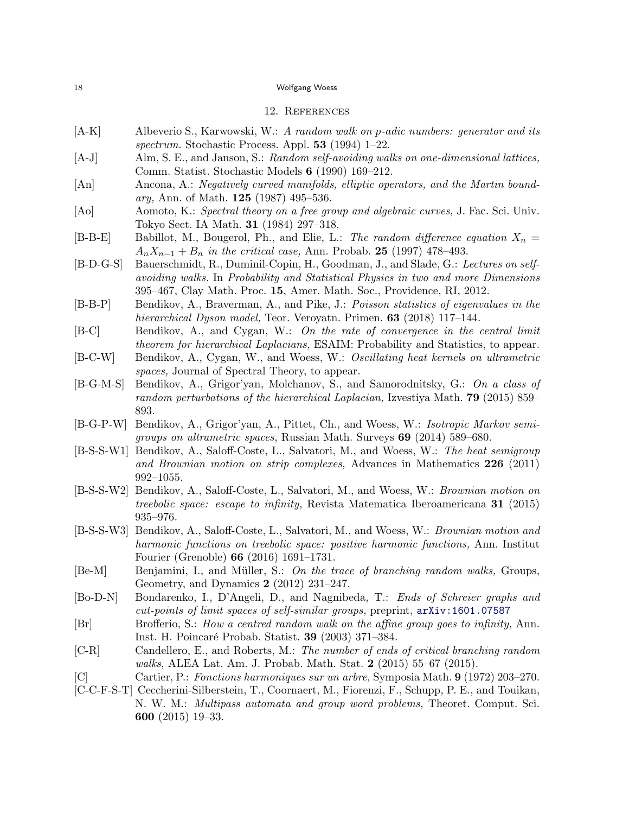### 12. References

- [A-K] Albeverio S., Karwowski, W.: *A random walk on p-adic numbers: generator and its spectrum.* Stochastic Process. Appl. **53** (1994) 1–22.
- [A-J] Alm, S. E., and Janson, S.: *Random self-avoiding walks on one-dimensional lattices,* Comm. Statist. Stochastic Models **6** (1990) 169–212.
- [An] Ancona, A.: *Negatively curved manifolds, elliptic operators, and the Martin boundary,* Ann. of Math. **125** (1987) 495–536.
- [Ao] Aomoto, K.: *Spectral theory on a free group and algebraic curves,* J. Fac. Sci. Univ. Tokyo Sect. IA Math. **31** (1984) 297–318.
- $[B-B-E]$  Babillot, M., Bougerol, Ph., and Elie, L.: *The random difference equation*  $X_n =$  $A_n X_{n-1} + B_n$  *in the critical case*, Ann. Probab. 25 (1997) 478–493.
- [B-D-G-S] Bauerschmidt, R., Duminil-Copin, H., Goodman, J., and Slade, G.: *Lectures on selfavoiding walks.* In *Probability and Statistical Physics in two and more Dimensions* 395–467, Clay Math. Proc. **15**, Amer. Math. Soc., Providence, RI, 2012.
- [B-B-P] Bendikov, A., Braverman, A., and Pike, J.: *Poisson statistics of eigenvalues in the hierarchical Dyson model,* Teor. Veroyatn. Primen. **63** (2018) 117–144.
- [B-C] Bendikov, A., and Cygan, W.: *On the rate of convergence in the central limit theorem for hierarchical Laplacians,* ESAIM: Probability and Statistics, to appear.
- [B-C-W] Bendikov, A., Cygan, W., and Woess, W.: *Oscillating heat kernels on ultrametric spaces,* Journal of Spectral Theory, to appear.
- [B-G-M-S] Bendikov, A., Grigor'yan, Molchanov, S., and Samorodnitsky, G.: *On a class of random perturbations of the hierarchical Laplacian,* Izvestiya Math. **79** (2015) 859– 893.
- [B-G-P-W] Bendikov, A., Grigor'yan, A., Pittet, Ch., and Woess, W.: *Isotropic Markov semigroups on ultrametric spaces,* Russian Math. Surveys **69** (2014) 589–680.
- [B-S-S-W1] Bendikov, A., Saloff-Coste, L., Salvatori, M., and Woess, W.: *The heat semigroup and Brownian motion on strip complexes,* Advances in Mathematics **226** (2011) 992–1055.
- [B-S-S-W2] Bendikov, A., Saloff-Coste, L., Salvatori, M., and Woess, W.: *Brownian motion on treebolic space: escape to infinity,* Revista Matematica Iberoamericana **31** (2015) 935–976.
- [B-S-S-W3] Bendikov, A., Saloff-Coste, L., Salvatori, M., and Woess, W.: *Brownian motion and harmonic functions on treebolic space: positive harmonic functions,* Ann. Institut Fourier (Grenoble) **66** (2016) 1691–1731.
- [Be-M] Benjamini, I., and Müller, S.: *On the trace of branching random walks*, Groups, Geometry, and Dynamics **2** (2012) 231–247.
- [Bo-D-N] Bondarenko, I., D'Angeli, D., and Nagnibeda, T.: *Ends of Schreier graphs and cut-points of limit spaces of self-similar groups,* preprint, arXiv:1601.07587
- [Br] Brofferio, S.: *How a centred random walk on the affine group goes to infinity,* Ann. Inst. H. Poincar´e Probab. Statist. **39** (2003) 371–384.
- [C-R] Candellero, E., and Roberts, M.: *The number of ends of critical branching random walks,* ALEA Lat. Am. J. Probab. Math. Stat. **2** (2015) 55–67 (2015).
- [C] Cartier, P.: *Fonctions harmoniques sur un arbre,* Symposia Math. **9** (1972) 203–270.
- [C-C-F-S-T] Ceccherini-Silberstein, T., Coornaert, M., Fiorenzi, F., Schupp, P. E., and Touikan, N. W. M.: *Multipass automata and group word problems,* Theoret. Comput. Sci. **600** (2015) 19–33.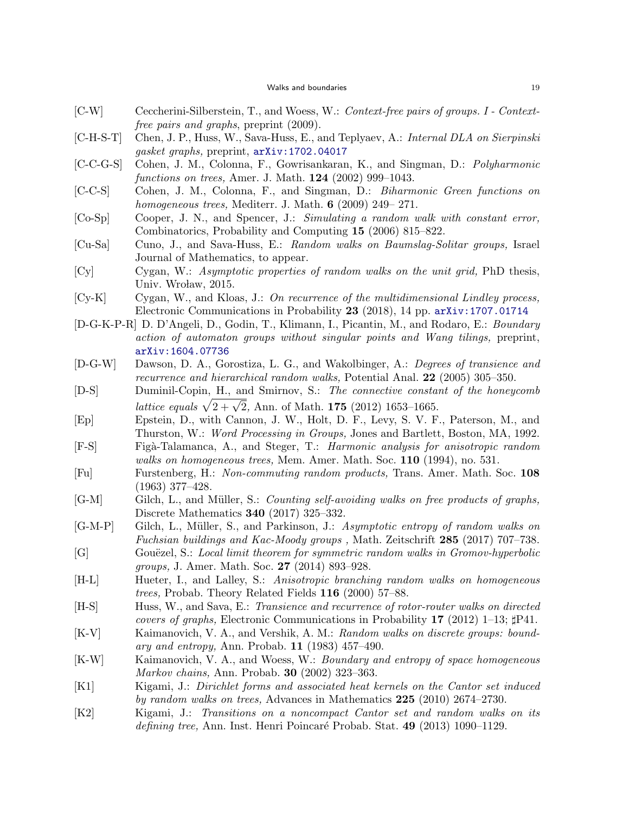- [C-W] Ceccherini-Silberstein, T., and Woess, W.: *Context-free pairs of groups. I Contextfree pairs and graphs*, preprint (2009).
- [C-H-S-T] Chen, J. P., Huss, W., Sava-Huss, E., and Teplyaev, A.: *Internal DLA on Sierpinski gasket graphs,* preprint, arXiv:1702.04017
- [C-C-G-S] Cohen, J. M., Colonna, F., Gowrisankaran, K., and Singman, D.: *Polyharmonic functions on trees,* Amer. J. Math. **124** (2002) 999–1043.
- [C-C-S] Cohen, J. M., Colonna, F., and Singman, D.: *Biharmonic Green functions on homogeneous trees,* Mediterr. J. Math. **6** (2009) 249– 271.
- [Co-Sp] Cooper, J. N., and Spencer, J.: *Simulating a random walk with constant error,* Combinatorics, Probability and Computing **15** (2006) 815–822.
- [Cu-Sa] Cuno, J., and Sava-Huss, E.: *Random walks on Baumslag-Solitar groups,* Israel Journal of Mathematics, to appear.
- [Cy] Cygan, W.: *Asymptotic properties of random walks on the unit grid,* PhD thesis, Univ. Wroław, 2015.
- [Cy-K] Cygan, W., and Kloas, J.: *On recurrence of the multidimensional Lindley process,* Electronic Communications in Probability **23** (2018), 14 pp. arXiv:1707.01714
- [D-G-K-P-R] D. D'Angeli, D., Godin, T., Klimann, I., Picantin, M., and Rodaro, E.: *Boundary action of automaton groups without singular points and Wang tilings,* preprint, arXiv:1604.07736
- [D-G-W] Dawson, D. A., Gorostiza, L. G., and Wakolbinger, A.: *Degrees of transience and recurrence and hierarchical random walks,* Potential Anal. **22** (2005) 305–350.
- [D-S] Duminil-Copin, H., and Smirnov, S.: *The connective constant of the honeycomb lattice equals*  $\sqrt{2 + \sqrt{2}}$ , Ann. of Math. **175** (2012) 1653–1665.
- [Ep] Epstein, D., with Cannon, J. W., Holt, D. F., Levy, S. V. F., Paterson, M., and Thurston, W.: *Word Processing in Groups,* Jones and Bartlett, Boston, MA, 1992.
- [F-S] Fig`a-Talamanca, A., and Steger, T.: *Harmonic analysis for anisotropic random walks on homogeneous trees,* Mem. Amer. Math. Soc. **110** (1994), no. 531.
- [Fu] Furstenberg, H.: *Non-commuting random products,* Trans. Amer. Math. Soc. **108** (1963) 377–428.
- [G-M] Gilch, L., and M¨uller, S.: *Counting self-avoiding walks on free products of graphs,* Discrete Mathematics **340** (2017) 325–332.
- [G-M-P] Gilch, L., M¨uller, S., and Parkinson, J.: *Asymptotic entropy of random walks on Fuchsian buildings and Kac-Moody groups ,* Math. Zeitschrift **285** (2017) 707–738.
- [G] Gouëzel, S.: *Local limit theorem for symmetric random walks in Gromov-hyperbolic groups,* J. Amer. Math. Soc. **27** (2014) 893–928.
- [H-L] Hueter, I., and Lalley, S.: *Anisotropic branching random walks on homogeneous trees,* Probab. Theory Related Fields **116** (2000) 57–88.
- [H-S] Huss, W., and Sava, E.: *Transience and recurrence of rotor-router walks on directed covers of graphs,* Electronic Communications in Probability **17** (2012) 1–13; *♯*P41.
- [K-V] Kaimanovich, V. A., and Vershik, A. M.: *Random walks on discrete groups: boundary and entropy,* Ann. Probab. **11** (1983) 457–490.
- [K-W] Kaimanovich, V. A., and Woess, W.: *Boundary and entropy of space homogeneous Markov chains,* Ann. Probab. **30** (2002) 323–363.
- [K1] Kigami, J.: *Dirichlet forms and associated heat kernels on the Cantor set induced by random walks on trees,* Advances in Mathematics **225** (2010) 2674–2730.
- [K2] Kigami, J.: *Transitions on a noncompact Cantor set and random walks on its defining tree,* Ann. Inst. Henri Poincar´e Probab. Stat. **49** (2013) 1090–1129.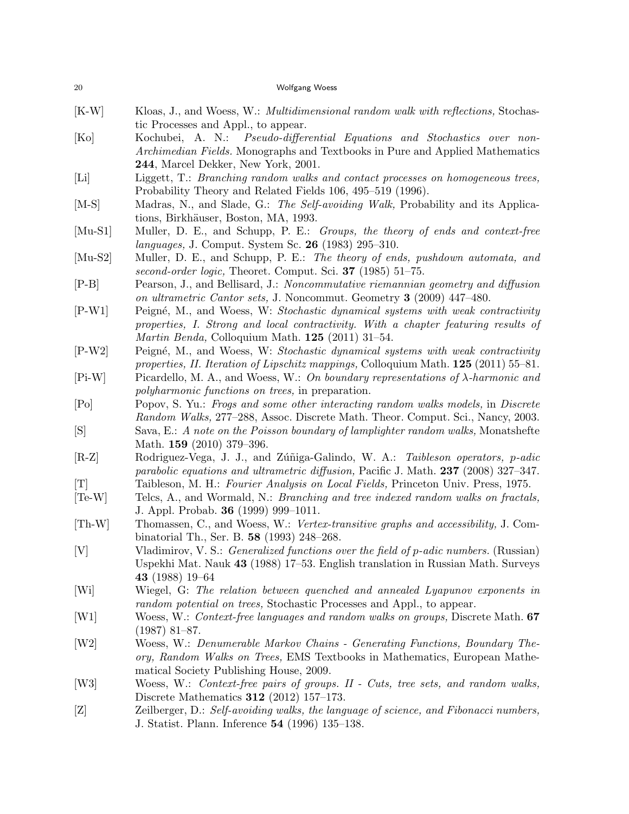| 20            | Wolfgang Woess                                                                                                                                                                                                                          |
|---------------|-----------------------------------------------------------------------------------------------------------------------------------------------------------------------------------------------------------------------------------------|
| $[K-W]$       | Kloas, J., and Woess, W.: Multidimensional random walk with reflections, Stochas-<br>tic Processes and Appl., to appear.                                                                                                                |
| [Ko]          | Kochubei, A. N.: Pseudo-differential Equations and Stochastics over non-<br>Archimedian Fields. Monographs and Textbooks in Pure and Applied Mathematics<br>244, Marcel Dekker, New York, 2001.                                         |
| [Li]          | Liggett, T.: Branching random walks and contact processes on homogeneous trees,<br>Probability Theory and Related Fields 106, 495-519 (1996).                                                                                           |
| $[M-S]$       | Madras, N., and Slade, G.: The Self-avoiding Walk, Probability and its Applica-<br>tions, Birkhäuser, Boston, MA, 1993.                                                                                                                 |
| $[Mu-S1]$     | Muller, D. E., and Schupp, P. E.: Groups, the theory of ends and context-free<br><i>languages</i> , J. Comput. System Sc. 26 (1983) 295-310.                                                                                            |
| $[Mu-S2]$     | Muller, D. E., and Schupp, P. E.: The theory of ends, pushdown automata, and<br>second-order logic, Theoret. Comput. Sci. 37 (1985) 51-75.                                                                                              |
| $[P-B]$       | Pearson, J., and Bellisard, J.: Noncommutative riemannian geometry and diffusion<br>on ultrametric Cantor sets, J. Noncommut. Geometry 3 (2009) 447-480.                                                                                |
| $[P-W1]$      | Peigné, M., and Woess, W: Stochastic dynamical systems with weak contractivity<br>properties, I. Strong and local contractivity. With a chapter featuring results of<br><i>Martin Benda</i> , Colloquium Math. <b>125</b> (2011) 31-54. |
| $[P-W2]$      | Peigné, M., and Woess, W: Stochastic dynamical systems with weak contractivity<br>properties, II. Iteration of Lipschitz mappings, Colloquium Math. $125$ (2011) 55–81.                                                                 |
| $[Pi-W]$      | Picardello, M. A., and Woess, W.: On boundary representations of $\lambda$ -harmonic and<br>polyharmonic functions on trees, in preparation.                                                                                            |
| [Po]          | Popov, S. Yu.: Frogs and some other interacting random walks models, in Discrete<br>Random Walks, 277–288, Assoc. Discrete Math. Theor. Comput. Sci., Nancy, 2003.                                                                      |
| [S]           | Sava, E.: A note on the Poisson boundary of lamplighter random walks, Monatshefte<br>Math. $159$ (2010) 379-396.                                                                                                                        |
| $[R-Z]$       | Rodriguez-Vega, J. J., and Zúñiga-Galindo, W. A.: Taibleson operators, p-adic<br>parabolic equations and ultrametric diffusion, Pacific J. Math. 237 (2008) 327-347.                                                                    |
| [T]           | Taibleson, M. H.: Fourier Analysis on Local Fields, Princeton Univ. Press, 1975.                                                                                                                                                        |
| $[Te-W]$      | Telcs, A., and Wormald, N.: <i>Branching and tree indexed random walks on fractals</i> ,<br>J. Appl. Probab. <b>36</b> (1999) 999-1011.                                                                                                 |
| $[Th-W]$      | Thomassen, C., and Woess, W.: Vertex-transitive graphs and accessibility, J. Com-<br>binatorial Th., Ser. B. 58 (1993) 248-268.                                                                                                         |
| [V]           | Vladimirov, V. S.: Generalized functions over the field of p-adic numbers. (Russian)<br>Uspekhi Mat. Nauk 43 (1988) 17–53. English translation in Russian Math. Surveys<br>43 (1988) 19-64                                              |
| $[\text{Wi}]$ | Wiegel, G: The relation between quenched and annealed Lyapunov exponents in<br>random potential on trees, Stochastic Processes and Appl., to appear.                                                                                    |
| [W1]          | Woess, W.: Context-free languages and random walks on groups, Discrete Math. 67<br>$(1987)$ 81–87.                                                                                                                                      |
| [W2]          | Woess, W.: Denumerable Markov Chains - Generating Functions, Boundary The-<br>ory, Random Walks on Trees, EMS Textbooks in Mathematics, European Mathe-<br>matical Society Publishing House, 2009.                                      |
| [W3]          | Woess, W.: Context-free pairs of groups. II - Cuts, tree sets, and random walks,<br>Discrete Mathematics $312$ (2012) 157-173.                                                                                                          |
| [Z]           | Zeilberger, D.: Self-avoiding walks, the language of science, and Fibonacci numbers,<br>J. Statist. Plann. Inference 54 (1996) 135–138.                                                                                                 |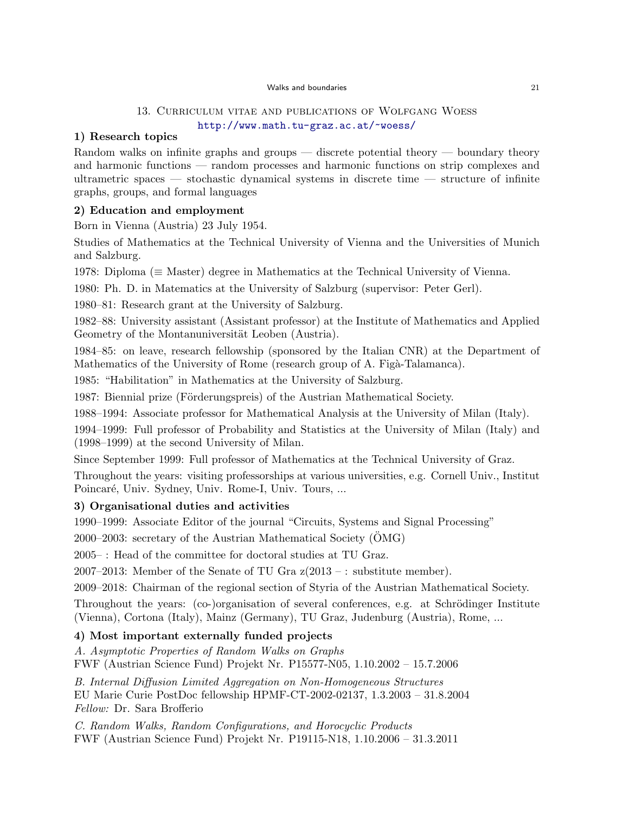#### Walks and boundaries 21

## 13. Curriculum vitae and publications of Wolfgang Woess http://www.math.tu-graz.ac.at/~woess/

## **1) Research topics**

Random walks on infinite graphs and groups — discrete potential theory — boundary theory and harmonic functions — random processes and harmonic functions on strip complexes and ultrametric spaces — stochastic dynamical systems in discrete time — structure of infinite graphs, groups, and formal languages

## **2) Education and employment**

Born in Vienna (Austria) 23 July 1954.

Studies of Mathematics at the Technical University of Vienna and the Universities of Munich and Salzburg.

1978: Diploma (*≡* Master) degree in Mathematics at the Technical University of Vienna.

1980: Ph. D. in Matematics at the University of Salzburg (supervisor: Peter Gerl).

1980–81: Research grant at the University of Salzburg.

1982–88: University assistant (Assistant professor) at the Institute of Mathematics and Applied Geometry of the Montanuniversität Leoben (Austria).

1984–85: on leave, research fellowship (sponsored by the Italian CNR) at the Department of Mathematics of the University of Rome (research group of A. Figà-Talamanca).

1985: "Habilitation" in Mathematics at the University of Salzburg.

1987: Biennial prize (Förderungspreis) of the Austrian Mathematical Society.

1988–1994: Associate professor for Mathematical Analysis at the University of Milan (Italy).

1994–1999: Full professor of Probability and Statistics at the University of Milan (Italy) and (1998–1999) at the second University of Milan.

Since September 1999: Full professor of Mathematics at the Technical University of Graz.

Throughout the years: visiting professorships at various universities, e.g. Cornell Univ., Institut Poincaré, Univ. Sydney, Univ. Rome-I, Univ. Tours, ...

## **3) Organisational duties and activities**

1990–1999: Associate Editor of the journal "Circuits, Systems and Signal Processing"

2000–2003: secretary of the Austrian Mathematical Society  $(OMG)$ 

2005– : Head of the committee for doctoral studies at TU Graz.

2007–2013: Member of the Senate of TU Gra z(2013 – : substitute member).

2009–2018: Chairman of the regional section of Styria of the Austrian Mathematical Society.

Throughout the years: (co-)organisation of several conferences, e.g. at Schrödinger Institute (Vienna), Cortona (Italy), Mainz (Germany), TU Graz, Judenburg (Austria), Rome, ...

## **4) Most important externally funded projects**

*A. Asymptotic Properties of Random Walks on Graphs*

FWF (Austrian Science Fund) Projekt Nr. P15577-N05, 1.10.2002 – 15.7.2006

*B. Internal Diffusion Limited Aggregation on Non-Homogeneous Structures* EU Marie Curie PostDoc fellowship HPMF-CT-2002-02137, 1.3.2003 – 31.8.2004 *Fellow:* Dr. Sara Brofferio

*C. Random Walks, Random Configurations, and Horocyclic Products* FWF (Austrian Science Fund) Projekt Nr. P19115-N18, 1.10.2006 – 31.3.2011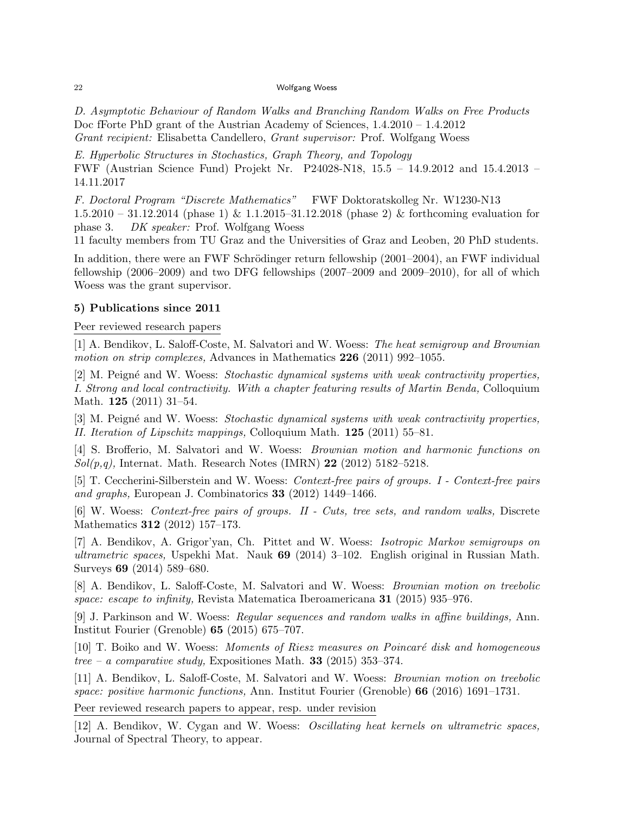*D. Asymptotic Behaviour of Random Walks and Branching Random Walks on Free Products* Doc fForte PhD grant of the Austrian Academy of Sciences, 1.4.2010 – 1.4.2012 *Grant recipient:* Elisabetta Candellero, *Grant supervisor:* Prof. Wolfgang Woess

*E. Hyperbolic Structures in Stochastics, Graph Theory, and Topology* FWF (Austrian Science Fund) Projekt Nr. P24028-N18, 15.5 – 14.9.2012 and 15.4.2013 – 14.11.2017

*F. Doctoral Program "Discrete Mathematics"* FWF Doktoratskolleg Nr. W1230-N13 1.5.2010 – 31.12.2014 (phase 1) & 1.1.2015–31.12.2018 (phase 2) & forthcoming evaluation for phase 3. *DK speaker:* Prof. Wolfgang Woess

11 faculty members from TU Graz and the Universities of Graz and Leoben, 20 PhD students.

In addition, there were an FWF Schrödinger return fellowship (2001–2004), an FWF individual fellowship (2006–2009) and two DFG fellowships (2007–2009 and 2009–2010), for all of which Woess was the grant supervisor.

## **5) Publications since 2011**

Peer reviewed research papers

[1] A. Bendikov, L. Saloff-Coste, M. Salvatori and W. Woess: *The heat semigroup and Brownian motion on strip complexes,* Advances in Mathematics **226** (2011) 992–1055.

[2] M. Peign´e and W. Woess: *Stochastic dynamical systems with weak contractivity properties, I. Strong and local contractivity. With a chapter featuring results of Martin Benda,* Colloquium Math. **125** (2011) 31–54.

[3] M. Peign´e and W. Woess: *Stochastic dynamical systems with weak contractivity properties, II. Iteration of Lipschitz mappings,* Colloquium Math. **125** (2011) 55–81.

[4] S. Brofferio, M. Salvatori and W. Woess: *Brownian motion and harmonic functions on Sol(p,q),* Internat. Math. Research Notes (IMRN) **22** (2012) 5182–5218.

[5] T. Ceccherini-Silberstein and W. Woess: *Context-free pairs of groups. I - Context-free pairs and graphs,* European J. Combinatorics **33** (2012) 1449–1466.

[6] W. Woess: *Context-free pairs of groups. II - Cuts, tree sets, and random walks,* Discrete Mathematics **312** (2012) 157–173.

[7] A. Bendikov, A. Grigor'yan, Ch. Pittet and W. Woess: *Isotropic Markov semigroups on ultrametric spaces,* Uspekhi Mat. Nauk **69** (2014) 3–102. English original in Russian Math. Surveys **69** (2014) 589–680.

[8] A. Bendikov, L. Saloff-Coste, M. Salvatori and W. Woess: *Brownian motion on treebolic space: escape to infinity,* Revista Matematica Iberoamericana **31** (2015) 935–976.

[9] J. Parkinson and W. Woess: *Regular sequences and random walks in affine buildings,* Ann. Institut Fourier (Grenoble) **65** (2015) 675–707.

[10] T. Boiko and W. Woess: *Moments of Riesz measures on Poincar´e disk and homogeneous tree – a comparative study,* Expositiones Math. **33** (2015) 353–374.

[11] A. Bendikov, L. Saloff-Coste, M. Salvatori and W. Woess: *Brownian motion on treebolic space: positive harmonic functions,* Ann. Institut Fourier (Grenoble) **66** (2016) 1691–1731.

Peer reviewed research papers to appear, resp. under revision

[12] A. Bendikov, W. Cygan and W. Woess: *Oscillating heat kernels on ultrametric spaces,* Journal of Spectral Theory, to appear.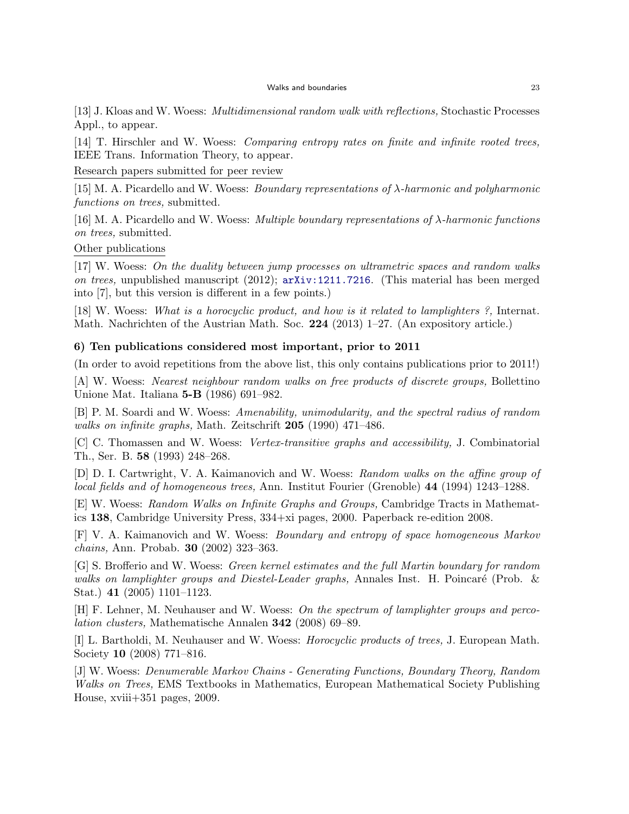[13] J. Kloas and W. Woess: *Multidimensional random walk with reflections,* Stochastic Processes Appl., to appear.

[14] T. Hirschler and W. Woess: *Comparing entropy rates on finite and infinite rooted trees,* IEEE Trans. Information Theory, to appear.

Research papers submitted for peer review

[15] M. A. Picardello and W. Woess: *Boundary representations of λ-harmonic and polyharmonic functions on trees,* submitted.

[16] M. A. Picardello and W. Woess: *Multiple boundary representations of λ-harmonic functions on trees,* submitted.

Other publications

[17] W. Woess: *On the duality between jump processes on ultrametric spaces and random walks on trees,* unpublished manuscript (2012); arXiv:1211.7216. (This material has been merged into [7], but this version is different in a few points.)

[18] W. Woess: *What is a horocyclic product, and how is it related to lamplighters ?,* Internat. Math. Nachrichten of the Austrian Math. Soc. **224** (2013) 1–27. (An expository article.)

### **6) Ten publications considered most important, prior to 2011**

(In order to avoid repetitions from the above list, this only contains publications prior to 2011!)

[A] W. Woess: *Nearest neighbour random walks on free products of discrete groups,* Bollettino Unione Mat. Italiana **5-B** (1986) 691–982.

[B] P. M. Soardi and W. Woess: *Amenability, unimodularity, and the spectral radius of random walks on infinite graphs,* Math. Zeitschrift **205** (1990) 471–486.

[C] C. Thomassen and W. Woess: *Vertex-transitive graphs and accessibility,* J. Combinatorial Th., Ser. B. **58** (1993) 248–268.

[D] D. I. Cartwright, V. A. Kaimanovich and W. Woess: *Random walks on the affine group of local fields and of homogeneous trees,* Ann. Institut Fourier (Grenoble) **44** (1994) 1243–1288.

[E] W. Woess: *Random Walks on Infinite Graphs and Groups,* Cambridge Tracts in Mathematics **138**, Cambridge University Press, 334+xi pages, 2000. Paperback re-edition 2008.

[F] V. A. Kaimanovich and W. Woess: *Boundary and entropy of space homogeneous Markov chains,* Ann. Probab. **30** (2002) 323–363.

[G] S. Brofferio and W. Woess: *Green kernel estimates and the full Martin boundary for random* walks on lamplighter groups and Diestel-Leader graphs, Annales Inst. H. Poincaré (Prob. & Stat.) **41** (2005) 1101–1123.

[H] F. Lehner, M. Neuhauser and W. Woess: *On the spectrum of lamplighter groups and percolation clusters,* Mathematische Annalen **342** (2008) 69–89.

[I] L. Bartholdi, M. Neuhauser and W. Woess: *Horocyclic products of trees,* J. European Math. Society **10** (2008) 771–816.

[J] W. Woess: *Denumerable Markov Chains - Generating Functions, Boundary Theory, Random Walks on Trees,* EMS Textbooks in Mathematics, European Mathematical Society Publishing House, xviii+351 pages, 2009.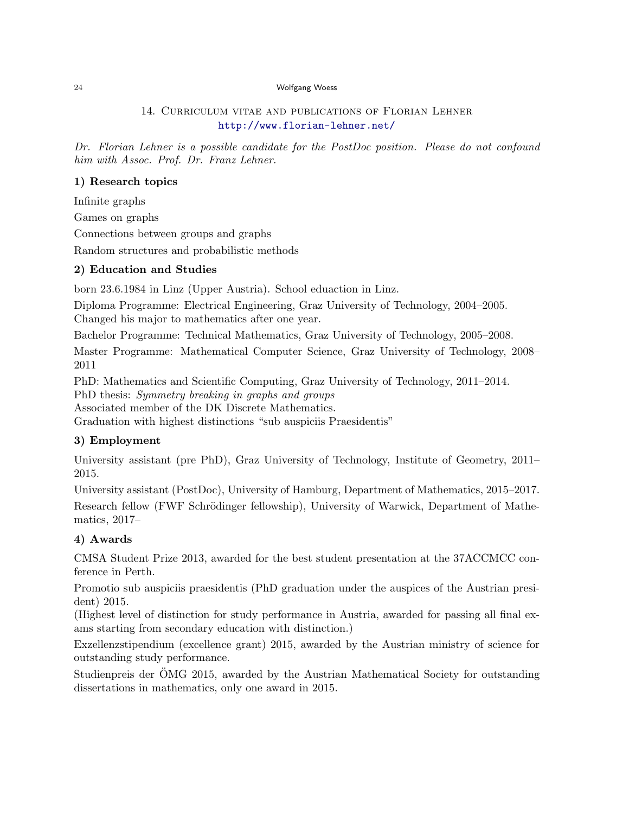## 14. Curriculum vitae and publications of Florian Lehner http://www.florian-lehner.net/

*Dr. Florian Lehner is a possible candidate for the PostDoc position. Please do not confound him with Assoc. Prof. Dr. Franz Lehner.*

## **1) Research topics**

Infinite graphs

Games on graphs

Connections between groups and graphs

Random structures and probabilistic methods

## **2) Education and Studies**

born 23.6.1984 in Linz (Upper Austria). School eduaction in Linz.

Diploma Programme: Electrical Engineering, Graz University of Technology, 2004–2005. Changed his major to mathematics after one year.

Bachelor Programme: Technical Mathematics, Graz University of Technology, 2005–2008.

Master Programme: Mathematical Computer Science, Graz University of Technology, 2008– 2011

PhD: Mathematics and Scientific Computing, Graz University of Technology, 2011–2014. PhD thesis: *Symmetry breaking in graphs and groups* Associated member of the DK Discrete Mathematics. Graduation with highest distinctions "sub auspiciis Praesidentis"

## **3) Employment**

University assistant (pre PhD), Graz University of Technology, Institute of Geometry, 2011– 2015.

University assistant (PostDoc), University of Hamburg, Department of Mathematics, 2015–2017. Research fellow (FWF Schrödinger fellowship), University of Warwick, Department of Mathematics, 2017–

## **4) Awards**

CMSA Student Prize 2013, awarded for the best student presentation at the 37ACCMCC conference in Perth.

Promotio sub auspiciis praesidentis (PhD graduation under the auspices of the Austrian president) 2015.

(Highest level of distinction for study performance in Austria, awarded for passing all final exams starting from secondary education with distinction.)

Exzellenzstipendium (excellence grant) 2015, awarded by the Austrian ministry of science for outstanding study performance.

Studienpreis der OMG 2015, awarded by the Austrian Mathematical Society for outstanding ¨ dissertations in mathematics, only one award in 2015.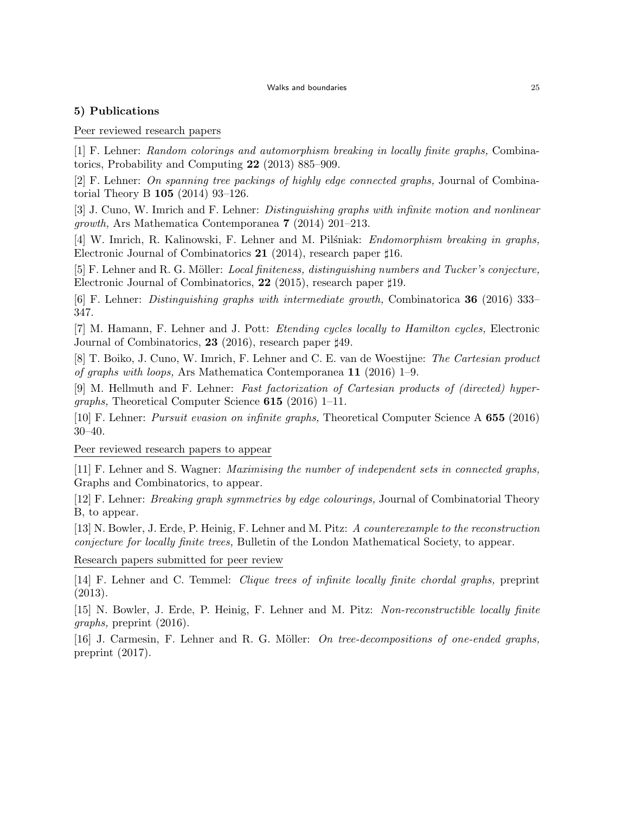## **5) Publications**

## Peer reviewed research papers

[1] F. Lehner: *Random colorings and automorphism breaking in locally finite graphs,* Combinatorics, Probability and Computing **22** (2013) 885–909.

[2] F. Lehner: *On spanning tree packings of highly edge connected graphs,* Journal of Combinatorial Theory B **105** (2014) 93–126.

[3] J. Cuno, W. Imrich and F. Lehner: *Distinguishing graphs with infinite motion and nonlinear growth,* Ars Mathematica Contemporanea **7** (2014) 201–213.

[4] W. Imrich, R. Kalinowski, F. Lehner and M. Pilsniak: *Endomorphism breaking in graphs*, Electronic Journal of Combinatorics **21** (2014), research paper *♯*16.

[5] F. Lehner and R. G. Möller: *Local finiteness, distinguishing numbers and Tucker's conjecture*, Electronic Journal of Combinatorics, **22** (2015), research paper *♯*19.

[6] F. Lehner: *Distinguishing graphs with intermediate growth,* Combinatorica **36** (2016) 333– 347.

[7] M. Hamann, F. Lehner and J. Pott: *Etending cycles locally to Hamilton cycles,* Electronic Journal of Combinatorics, **23** (2016), research paper *♯*49.

[8] T. Boiko, J. Cuno, W. Imrich, F. Lehner and C. E. van de Woestijne: *The Cartesian product of graphs with loops,* Ars Mathematica Contemporanea **11** (2016) 1–9.

[9] M. Hellmuth and F. Lehner: *Fast factorization of Cartesian products of (directed) hypergraphs,* Theoretical Computer Science **615** (2016) 1–11.

[10] F. Lehner: *Pursuit evasion on infinite graphs,* Theoretical Computer Science A **655** (2016) 30–40.

Peer reviewed research papers to appear

[11] F. Lehner and S. Wagner: *Maximising the number of independent sets in connected graphs,* Graphs and Combinatorics, to appear.

[12] F. Lehner: *Breaking graph symmetries by edge colourings,* Journal of Combinatorial Theory B, to appear.

[13] N. Bowler, J. Erde, P. Heinig, F. Lehner and M. Pitz: *A counterexample to the reconstruction conjecture for locally finite trees,* Bulletin of the London Mathematical Society, to appear.

Research papers submitted for peer review

[14] F. Lehner and C. Temmel: *Clique trees of infinite locally finite chordal graphs,* preprint (2013).

[15] N. Bowler, J. Erde, P. Heinig, F. Lehner and M. Pitz: *Non-reconstructible locally finite graphs,* preprint (2016).

[16] J. Carmesin, F. Lehner and R. G. Möller: *On tree-decompositions of one-ended graphs*, preprint (2017).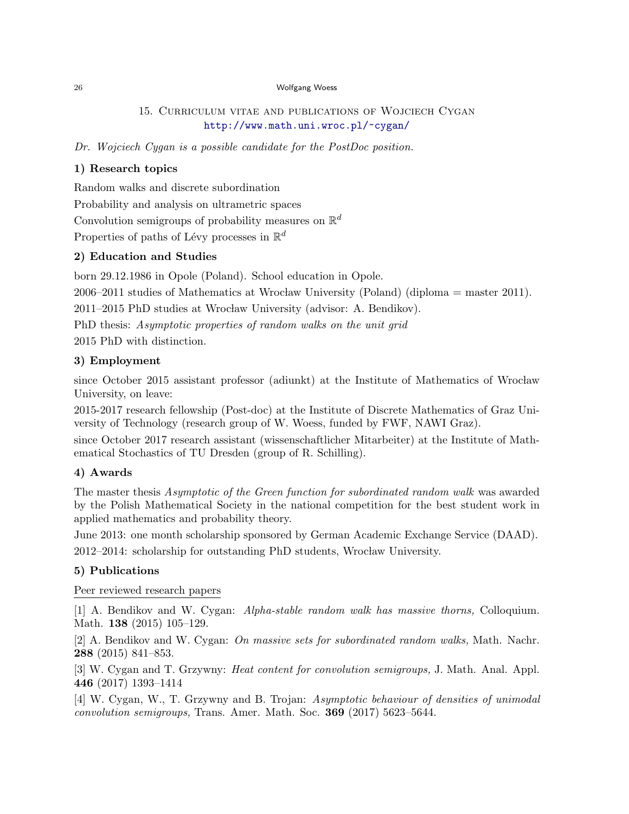## 15. Curriculum vitae and publications of Wojciech Cygan http://www.math.uni.wroc.pl/~cygan/

*Dr. Wojciech Cygan is a possible candidate for the PostDoc position.*

## **1) Research topics**

Random walks and discrete subordination

Probability and analysis on ultrametric spaces

Convolution semigroups of probability measures on R *d*

Properties of paths of Lévy processes in  $\mathbb{R}^d$ 

## **2) Education and Studies**

born 29.12.1986 in Opole (Poland). School education in Opole.

 $2006-2011$  studies of Mathematics at Wrocław University (Poland) (diploma = master 2011).

2011–2015 PhD studies at Wrocław University (advisor: A. Bendikov).

PhD thesis: *Asymptotic properties of random walks on the unit grid*

2015 PhD with distinction.

## **3) Employment**

since October 2015 assistant professor (adiunkt) at the Institute of Mathematics of Wrocław University, on leave:

2015-2017 research fellowship (Post-doc) at the Institute of Discrete Mathematics of Graz University of Technology (research group of W. Woess, funded by FWF, NAWI Graz).

since October 2017 research assistant (wissenschaftlicher Mitarbeiter) at the Institute of Mathematical Stochastics of TU Dresden (group of R. Schilling).

## **4) Awards**

The master thesis *Asymptotic of the Green function for subordinated random walk* was awarded by the Polish Mathematical Society in the national competition for the best student work in applied mathematics and probability theory.

June 2013: one month scholarship sponsored by German Academic Exchange Service (DAAD). 2012–2014: scholarship for outstanding PhD students, Wrocław University.

## **5) Publications**

Peer reviewed research papers

[1] A. Bendikov and W. Cygan: *Alpha-stable random walk has massive thorns,* Colloquium. Math. **138** (2015) 105–129.

[2] A. Bendikov and W. Cygan: *On massive sets for subordinated random walks,* Math. Nachr. **288** (2015) 841–853.

[3] W. Cygan and T. Grzywny: *Heat content for convolution semigroups,* J. Math. Anal. Appl. **446** (2017) 1393–1414

[4] W. Cygan, W., T. Grzywny and B. Trojan: *Asymptotic behaviour of densities of unimodal convolution semigroups,* Trans. Amer. Math. Soc. **369** (2017) 5623–5644.